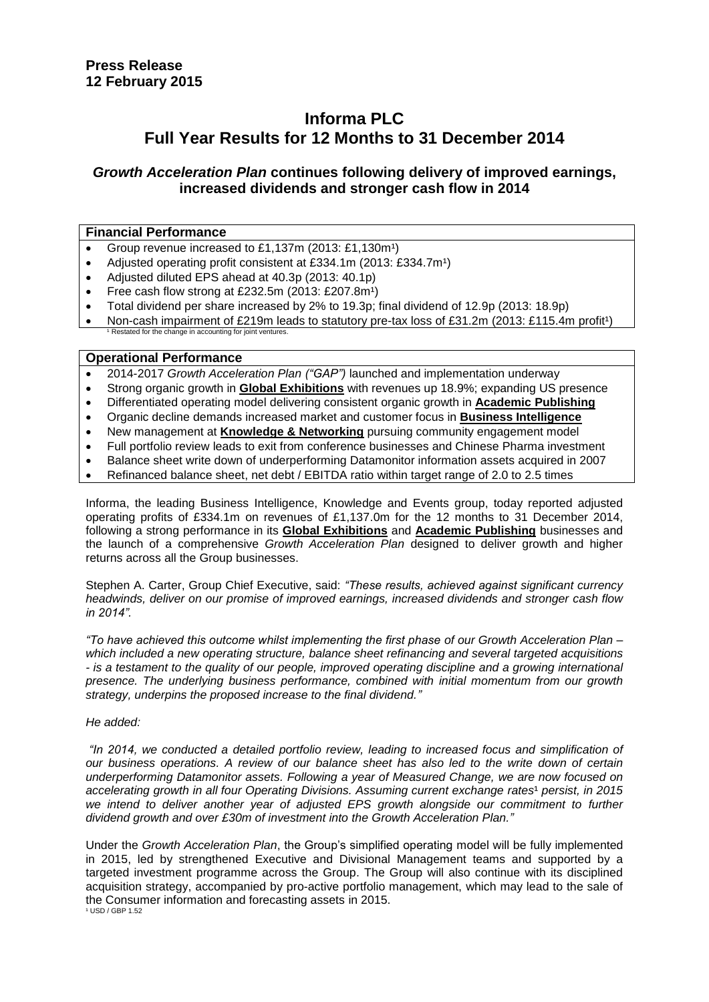# **Informa PLC Full Year Results for 12 Months to 31 December 2014**

# *Growth Acceleration Plan* **continues following delivery of improved earnings, increased dividends and stronger cash flow in 2014**

### **Financial Performance**

- Group revenue increased to £1,137m (2013: £1,130m<sup>1</sup>)
- Adjusted operating profit consistent at £334.1m (2013: £334.7m<sup>1</sup>)
- Adjusted diluted EPS ahead at 40.3p (2013: 40.1p)
- Free cash flow strong at £232.5m (2013: £207.8m<sup>1</sup>)
- Total dividend per share increased by 2% to 19.3p; final dividend of 12.9p (2013: 18.9p)
- Non-cash impairment of £219m leads to statutory pre-tax loss of £31.2m (2013: £115.4m profit<sup>1</sup>) Restated for the change in accounting for joint ventures.

#### **Operational Performance**

- 2014-2017 *Growth Acceleration Plan ("GAP")* launched and implementation underway
- Strong organic growth in **Global Exhibitions** with revenues up 18.9%; expanding US presence
- Differentiated operating model delivering consistent organic growth in **Academic Publishing**
- Organic decline demands increased market and customer focus in **Business Intelligence**
- New management at **Knowledge & Networking** pursuing community engagement model
- Full portfolio review leads to exit from conference businesses and Chinese Pharma investment
- Balance sheet write down of underperforming Datamonitor information assets acquired in 2007
- Refinanced balance sheet, net debt / EBITDA ratio within target range of 2.0 to 2.5 times

Informa, the leading Business Intelligence, Knowledge and Events group, today reported adjusted operating profits of £334.1m on revenues of £1,137.0m for the 12 months to 31 December 2014, following a strong performance in its **Global Exhibitions** and **Academic Publishing** businesses and the launch of a comprehensive *Growth Acceleration Plan* designed to deliver growth and higher returns across all the Group businesses.

Stephen A. Carter, Group Chief Executive, said: *"These results, achieved against significant currency headwinds, deliver on our promise of improved earnings, increased dividends and stronger cash flow in 2014".* 

*"To have achieved this outcome whilst implementing the first phase of our Growth Acceleration Plan – which included a new operating structure, balance sheet refinancing and several targeted acquisitions - is a testament to the quality of our people, improved operating discipline and a growing international presence. The underlying business performance, combined with initial momentum from our growth strategy, underpins the proposed increase to the final dividend."*

#### *He added:*

*"In 2014, we conducted a detailed portfolio review, leading to increased focus and simplification of our business operations. A review of our balance sheet has also led to the write down of certain underperforming Datamonitor assets. Following a year of Measured Change, we are now focused on accelerating growth in all four Operating Divisions. Assuming current exchange rates<sup>1</sup> persist, in 2015* we intend to deliver another year of adjusted EPS growth alongside our commitment to further *dividend growth and over £30m of investment into the Growth Acceleration Plan."*

Under the *Growth Acceleration Plan*, the Group's simplified operating model will be fully implemented in 2015, led by strengthened Executive and Divisional Management teams and supported by a targeted investment programme across the Group. The Group will also continue with its disciplined acquisition strategy, accompanied by pro-active portfolio management, which may lead to the sale of the Consumer information and forecasting assets in 2015. ¹ USD / GBP 1.52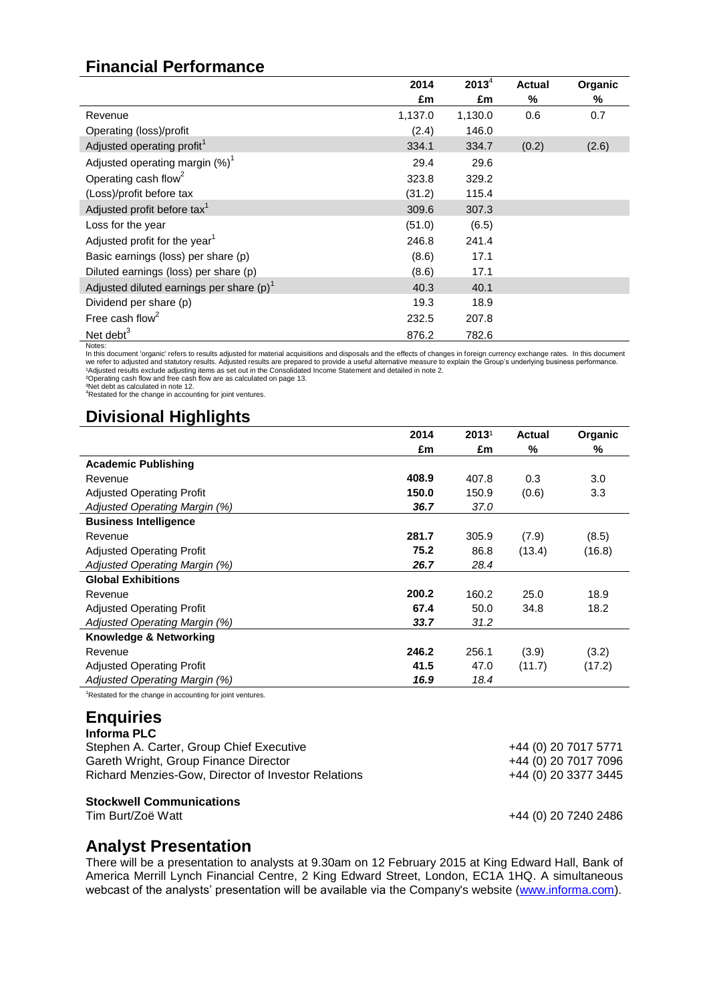# **Financial Performance**

|                                             | 2014    | $2013^4$ | <b>Actual</b> | Organic |
|---------------------------------------------|---------|----------|---------------|---------|
|                                             | £m      | £m       | %             | %       |
| Revenue                                     | 1,137.0 | 1,130.0  | 0.6           | 0.7     |
| Operating (loss)/profit                     | (2.4)   | 146.0    |               |         |
| Adjusted operating profit <sup>1</sup>      | 334.1   | 334.7    | (0.2)         | (2.6)   |
| Adjusted operating margin $(\%)^1$          | 29.4    | 29.6     |               |         |
| Operating cash flow <sup>2</sup>            | 323.8   | 329.2    |               |         |
| (Loss)/profit before tax                    | (31.2)  | 115.4    |               |         |
| Adjusted profit before tax <sup>1</sup>     | 309.6   | 307.3    |               |         |
| Loss for the year                           | (51.0)  | (6.5)    |               |         |
| Adjusted profit for the year <sup>1</sup>   | 246.8   | 241.4    |               |         |
| Basic earnings (loss) per share (p)         | (8.6)   | 17.1     |               |         |
| Diluted earnings (loss) per share (p)       | (8.6)   | 17.1     |               |         |
| Adjusted diluted earnings per share $(p)^1$ | 40.3    | 40.1     |               |         |
| Dividend per share (p)                      | 19.3    | 18.9     |               |         |
| Free cash flow <sup>2</sup>                 | 232.5   | 207.8    |               |         |
| Net debt $3$                                | 876.2   | 782.6    |               |         |
| Notes:                                      |         |          |               |         |

In this document 'organic' refers to results adjusted for material acquisitions and disposals and the effects of changes in foreign currency exchange rates. In this document we refer to adjusted and statutory results. Adjusted results are prepared to provide a useful alternative measure to explain the Group's underlying business performance.<br>\*Adjusted results exclude adjusting items as set out

# **Divisional Highlights**

|                                                           | 2014  | 2013 <sup>1</sup> | <b>Actual</b> | Organic |
|-----------------------------------------------------------|-------|-------------------|---------------|---------|
|                                                           | £m    | £m                | %             | %       |
| <b>Academic Publishing</b>                                |       |                   |               |         |
| Revenue                                                   | 408.9 | 407.8             | 0.3           | 3.0     |
| <b>Adjusted Operating Profit</b>                          | 150.0 | 150.9             | (0.6)         | 3.3     |
| Adjusted Operating Margin (%)                             | 36.7  | 37.0              |               |         |
| <b>Business Intelligence</b>                              |       |                   |               |         |
| Revenue                                                   | 281.7 | 305.9             | (7.9)         | (8.5)   |
| <b>Adjusted Operating Profit</b>                          | 75.2  | 86.8              | (13.4)        | (16.8)  |
| Adjusted Operating Margin (%)                             | 26.7  | 28.4              |               |         |
| <b>Global Exhibitions</b>                                 |       |                   |               |         |
| Revenue                                                   | 200.2 | 160.2             | 25.0          | 18.9    |
| <b>Adjusted Operating Profit</b>                          | 67.4  | 50.0              | 34.8          | 18.2    |
| Adjusted Operating Margin (%)                             | 33.7  | 31.2              |               |         |
| Knowledge & Networking                                    |       |                   |               |         |
| Revenue                                                   | 246.2 | 256.1             | (3.9)         | (3.2)   |
| <b>Adjusted Operating Profit</b>                          | 41.5  | 47.0              | (11.7)        | (17.2)  |
| Adjusted Operating Margin (%)                             | 16.9  | 18.4              |               |         |
| Restated for the change in accounting for joint ventures. |       |                   |               |         |

# **Enquiries**

| Informa PLC                                         |                      |
|-----------------------------------------------------|----------------------|
| Stephen A. Carter, Group Chief Executive            | +44 (0) 20 7017 5771 |
| Gareth Wright, Group Finance Director               | +44 (0) 20 7017 7096 |
| Richard Menzies-Gow, Director of Investor Relations | +44 (0) 20 3377 3445 |
| <b>Stockwell Communications</b>                     |                      |
| Tim Burt/Zoë Watt                                   | +44 (0) 20 7240 2486 |

# **Analyst Presentation**

There will be a presentation to analysts at 9.30am on 12 February 2015 at King Edward Hall, Bank of America Merrill Lynch Financial Centre, 2 King Edward Street, London, EC1A 1HQ. A simultaneous webcast of the analysts' presentation will be available via the Company's website [\(www.informa.com\)](http://www.informa.com/).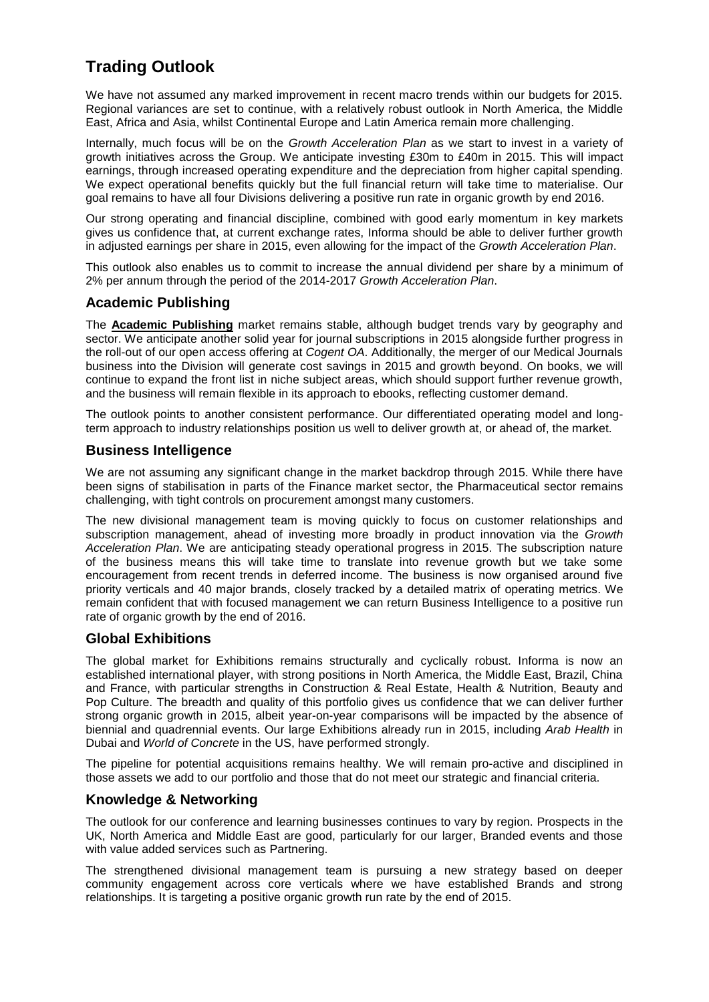# **Trading Outlook**

We have not assumed any marked improvement in recent macro trends within our budgets for 2015. Regional variances are set to continue, with a relatively robust outlook in North America, the Middle East, Africa and Asia, whilst Continental Europe and Latin America remain more challenging.

Internally, much focus will be on the *Growth Acceleration Plan* as we start to invest in a variety of growth initiatives across the Group. We anticipate investing £30m to £40m in 2015. This will impact earnings, through increased operating expenditure and the depreciation from higher capital spending. We expect operational benefits quickly but the full financial return will take time to materialise. Our goal remains to have all four Divisions delivering a positive run rate in organic growth by end 2016.

Our strong operating and financial discipline, combined with good early momentum in key markets gives us confidence that, at current exchange rates, Informa should be able to deliver further growth in adjusted earnings per share in 2015, even allowing for the impact of the *Growth Acceleration Plan*.

This outlook also enables us to commit to increase the annual dividend per share by a minimum of 2% per annum through the period of the 2014-2017 *Growth Acceleration Plan*.

# **Academic Publishing**

The **Academic Publishing** market remains stable, although budget trends vary by geography and sector. We anticipate another solid year for journal subscriptions in 2015 alongside further progress in the roll-out of our open access offering at *Cogent OA*. Additionally, the merger of our Medical Journals business into the Division will generate cost savings in 2015 and growth beyond. On books, we will continue to expand the front list in niche subject areas, which should support further revenue growth, and the business will remain flexible in its approach to ebooks, reflecting customer demand.

The outlook points to another consistent performance. Our differentiated operating model and longterm approach to industry relationships position us well to deliver growth at, or ahead of, the market.

# **Business Intelligence**

We are not assuming any significant change in the market backdrop through 2015. While there have been signs of stabilisation in parts of the Finance market sector, the Pharmaceutical sector remains challenging, with tight controls on procurement amongst many customers.

The new divisional management team is moving quickly to focus on customer relationships and subscription management, ahead of investing more broadly in product innovation via the *Growth Acceleration Plan*. We are anticipating steady operational progress in 2015. The subscription nature of the business means this will take time to translate into revenue growth but we take some encouragement from recent trends in deferred income. The business is now organised around five priority verticals and 40 major brands, closely tracked by a detailed matrix of operating metrics. We remain confident that with focused management we can return Business Intelligence to a positive run rate of organic growth by the end of 2016.

### **Global Exhibitions**

The global market for Exhibitions remains structurally and cyclically robust. Informa is now an established international player, with strong positions in North America, the Middle East, Brazil, China and France, with particular strengths in Construction & Real Estate, Health & Nutrition, Beauty and Pop Culture. The breadth and quality of this portfolio gives us confidence that we can deliver further strong organic growth in 2015, albeit year-on-year comparisons will be impacted by the absence of biennial and quadrennial events. Our large Exhibitions already run in 2015, including *Arab Health* in Dubai and *World of Concrete* in the US, have performed strongly.

The pipeline for potential acquisitions remains healthy. We will remain pro-active and disciplined in those assets we add to our portfolio and those that do not meet our strategic and financial criteria.

# **Knowledge & Networking**

The outlook for our conference and learning businesses continues to vary by region. Prospects in the UK, North America and Middle East are good, particularly for our larger, Branded events and those with value added services such as Partnering.

The strengthened divisional management team is pursuing a new strategy based on deeper community engagement across core verticals where we have established Brands and strong relationships. It is targeting a positive organic growth run rate by the end of 2015.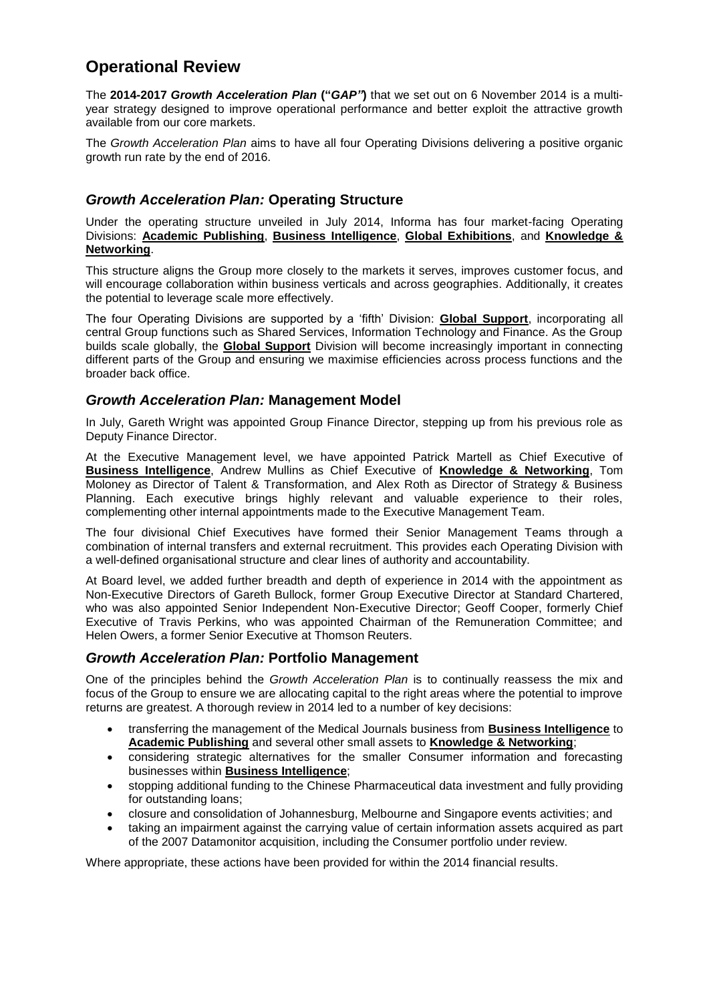# **Operational Review**

The **2014-2017** *Growth Acceleration Plan* **("***GAP"***)** that we set out on 6 November 2014 is a multiyear strategy designed to improve operational performance and better exploit the attractive growth available from our core markets.

The *Growth Acceleration Plan* aims to have all four Operating Divisions delivering a positive organic growth run rate by the end of 2016.

# *Growth Acceleration Plan:* **Operating Structure**

Under the operating structure unveiled in July 2014, Informa has four market-facing Operating Divisions: **Academic Publishing**, **Business Intelligence**, **Global Exhibitions**, and **Knowledge & Networking**.

This structure aligns the Group more closely to the markets it serves, improves customer focus, and will encourage collaboration within business verticals and across geographies. Additionally, it creates the potential to leverage scale more effectively.

The four Operating Divisions are supported by a 'fifth' Division: **Global Support**, incorporating all central Group functions such as Shared Services, Information Technology and Finance. As the Group builds scale globally, the **Global Support** Division will become increasingly important in connecting different parts of the Group and ensuring we maximise efficiencies across process functions and the broader back office.

### *Growth Acceleration Plan:* **Management Model**

In July, Gareth Wright was appointed Group Finance Director, stepping up from his previous role as Deputy Finance Director.

At the Executive Management level, we have appointed Patrick Martell as Chief Executive of **Business Intelligence**, Andrew Mullins as Chief Executive of **Knowledge & Networking**, Tom Moloney as Director of Talent & Transformation, and Alex Roth as Director of Strategy & Business Planning. Each executive brings highly relevant and valuable experience to their roles, complementing other internal appointments made to the Executive Management Team.

The four divisional Chief Executives have formed their Senior Management Teams through a combination of internal transfers and external recruitment. This provides each Operating Division with a well-defined organisational structure and clear lines of authority and accountability.

At Board level, we added further breadth and depth of experience in 2014 with the appointment as Non-Executive Directors of Gareth Bullock, former Group Executive Director at Standard Chartered, who was also appointed Senior Independent Non-Executive Director; Geoff Cooper, formerly Chief Executive of Travis Perkins, who was appointed Chairman of the Remuneration Committee; and Helen Owers, a former Senior Executive at Thomson Reuters.

### *Growth Acceleration Plan:* **Portfolio Management**

One of the principles behind the *Growth Acceleration Plan* is to continually reassess the mix and focus of the Group to ensure we are allocating capital to the right areas where the potential to improve returns are greatest. A thorough review in 2014 led to a number of key decisions:

- transferring the management of the Medical Journals business from **Business Intelligence** to **Academic Publishing** and several other small assets to **Knowledge & Networking**;
- considering strategic alternatives for the smaller Consumer information and forecasting businesses within **Business Intelligence**;
- stopping additional funding to the Chinese Pharmaceutical data investment and fully providing for outstanding loans;
- closure and consolidation of Johannesburg, Melbourne and Singapore events activities; and
- taking an impairment against the carrying value of certain information assets acquired as part of the 2007 Datamonitor acquisition, including the Consumer portfolio under review.

Where appropriate, these actions have been provided for within the 2014 financial results.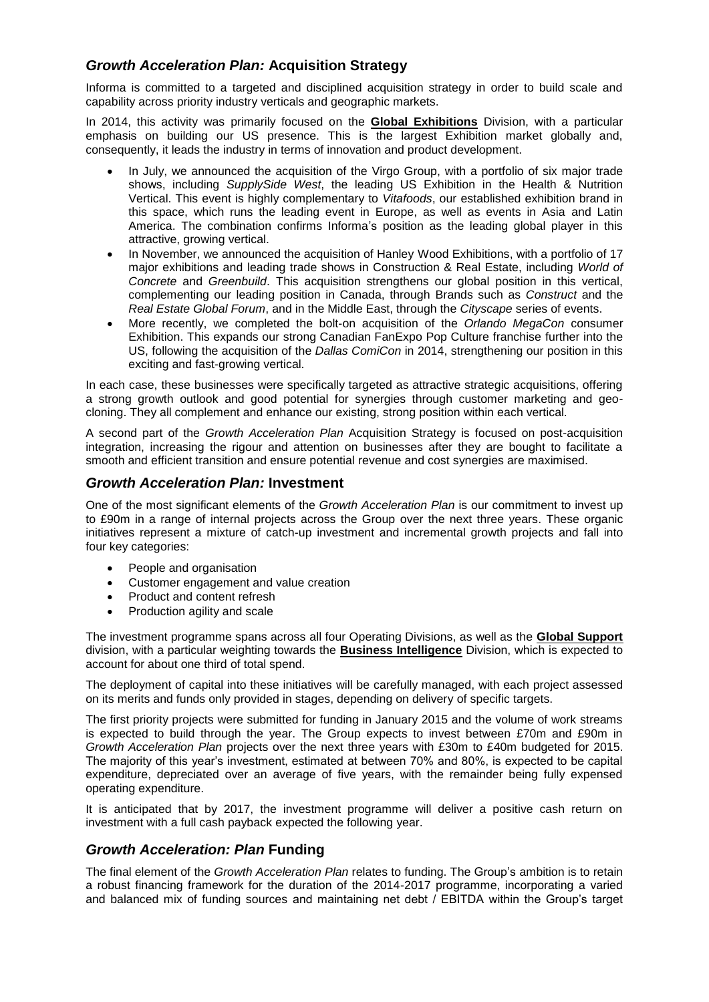# *Growth Acceleration Plan:* **Acquisition Strategy**

Informa is committed to a targeted and disciplined acquisition strategy in order to build scale and capability across priority industry verticals and geographic markets.

In 2014, this activity was primarily focused on the **Global Exhibitions** Division, with a particular emphasis on building our US presence. This is the largest Exhibition market globally and, consequently, it leads the industry in terms of innovation and product development.

- In July, we announced the acquisition of the Virgo Group, with a portfolio of six major trade shows, including *SupplySide West*, the leading US Exhibition in the Health & Nutrition Vertical. This event is highly complementary to *Vitafoods*, our established exhibition brand in this space, which runs the leading event in Europe, as well as events in Asia and Latin America. The combination confirms Informa's position as the leading global player in this attractive, growing vertical.
- In November, we announced the acquisition of Hanley Wood Exhibitions, with a portfolio of 17 major exhibitions and leading trade shows in Construction & Real Estate, including *World of Concrete* and *Greenbuild*. This acquisition strengthens our global position in this vertical, complementing our leading position in Canada, through Brands such as *Construct* and the *Real Estate Global Forum*, and in the Middle East, through the *Cityscape* series of events.
- More recently, we completed the bolt-on acquisition of the *Orlando MegaCon* consumer Exhibition. This expands our strong Canadian FanExpo Pop Culture franchise further into the US, following the acquisition of the *Dallas ComiCon* in 2014, strengthening our position in this exciting and fast-growing vertical.

In each case, these businesses were specifically targeted as attractive strategic acquisitions, offering a strong growth outlook and good potential for synergies through customer marketing and geocloning. They all complement and enhance our existing, strong position within each vertical.

A second part of the *Growth Acceleration Plan* Acquisition Strategy is focused on post-acquisition integration, increasing the rigour and attention on businesses after they are bought to facilitate a smooth and efficient transition and ensure potential revenue and cost synergies are maximised.

# *Growth Acceleration Plan:* **Investment**

One of the most significant elements of the *Growth Acceleration Plan* is our commitment to invest up to £90m in a range of internal projects across the Group over the next three years. These organic initiatives represent a mixture of catch-up investment and incremental growth projects and fall into four key categories:

- People and organisation
- Customer engagement and value creation
- Product and content refresh
- Production agility and scale

The investment programme spans across all four Operating Divisions, as well as the **Global Support** division, with a particular weighting towards the **Business Intelligence** Division, which is expected to account for about one third of total spend.

The deployment of capital into these initiatives will be carefully managed, with each project assessed on its merits and funds only provided in stages, depending on delivery of specific targets.

The first priority projects were submitted for funding in January 2015 and the volume of work streams is expected to build through the year. The Group expects to invest between £70m and £90m in *Growth Acceleration Plan* projects over the next three years with £30m to £40m budgeted for 2015. The majority of this year's investment, estimated at between 70% and 80%, is expected to be capital expenditure, depreciated over an average of five years, with the remainder being fully expensed operating expenditure.

It is anticipated that by 2017, the investment programme will deliver a positive cash return on investment with a full cash payback expected the following year.

# *Growth Acceleration: Plan* **Funding**

The final element of the *Growth Acceleration Plan* relates to funding. The Group's ambition is to retain a robust financing framework for the duration of the 2014-2017 programme, incorporating a varied and balanced mix of funding sources and maintaining net debt / EBITDA within the Group's target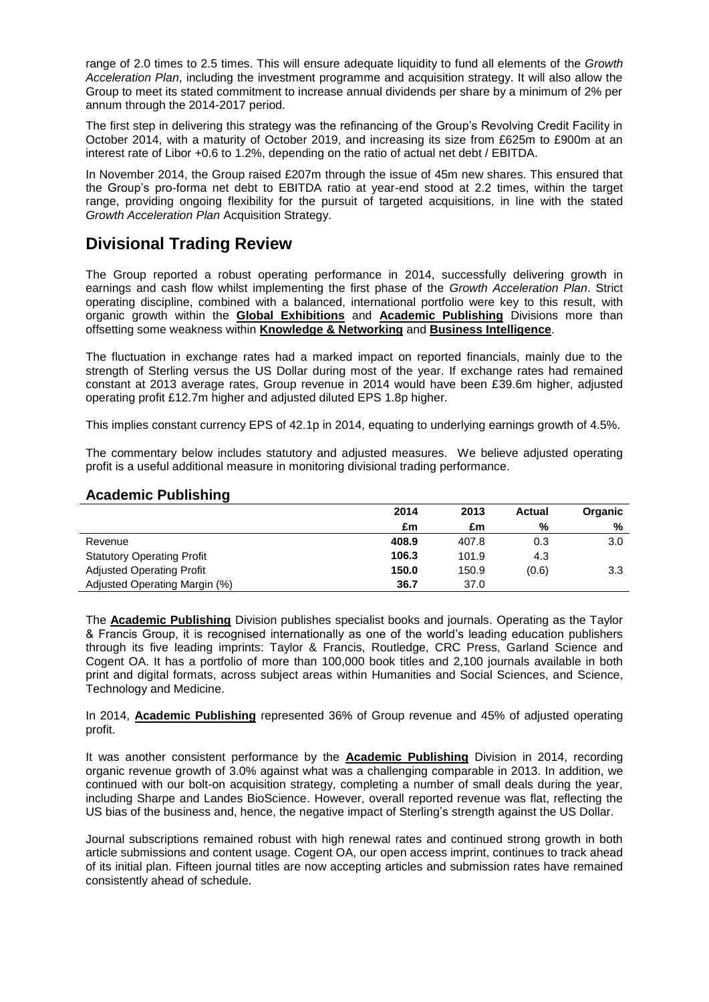range of 2.0 times to 2.5 times. This will ensure adequate liquidity to fund all elements of the *Growth Acceleration Plan*, including the investment programme and acquisition strategy. It will also allow the Group to meet its stated commitment to increase annual dividends per share by a minimum of 2% per annum through the 2014-2017 period.

The first step in delivering this strategy was the refinancing of the Group's Revolving Credit Facility in October 2014, with a maturity of October 2019, and increasing its size from £625m to £900m at an interest rate of Libor +0.6 to 1.2%, depending on the ratio of actual net debt / EBITDA.

In November 2014, the Group raised £207m through the issue of 45m new shares. This ensured that the Group's pro-forma net debt to EBITDA ratio at year-end stood at 2.2 times, within the target range, providing ongoing flexibility for the pursuit of targeted acquisitions, in line with the stated *Growth Acceleration Plan* Acquisition Strategy.

# **Divisional Trading Review**

The Group reported a robust operating performance in 2014, successfully delivering growth in earnings and cash flow whilst implementing the first phase of the *Growth Acceleration Plan*. Strict operating discipline, combined with a balanced, international portfolio were key to this result, with organic growth within the **Global Exhibitions** and **Academic Publishing** Divisions more than offsetting some weakness within **Knowledge & Networking** and **Business Intelligence**.

The fluctuation in exchange rates had a marked impact on reported financials, mainly due to the strength of Sterling versus the US Dollar during most of the year. If exchange rates had remained constant at 2013 average rates, Group revenue in 2014 would have been £39.6m higher, adjusted operating profit £12.7m higher and adjusted diluted EPS 1.8p higher.

This implies constant currency EPS of 42.1p in 2014, equating to underlying earnings growth of 4.5%.

The commentary below includes statutory and adjusted measures. We believe adjusted operating profit is a useful additional measure in monitoring divisional trading performance.

# **Academic Publishing**

|                                   | 2014  | 2013  | <b>Actual</b> | Organic |
|-----------------------------------|-------|-------|---------------|---------|
|                                   | £m    | £m    | %             | %       |
| Revenue                           | 408.9 | 407.8 | 0.3           | 3.0     |
| <b>Statutory Operating Profit</b> | 106.3 | 101.9 | 4.3           |         |
| <b>Adjusted Operating Profit</b>  | 150.0 | 150.9 | (0.6)         | 3.3     |
| Adjusted Operating Margin (%)     | 36.7  | 37.0  |               |         |

The **Academic Publishing** Division publishes specialist books and journals. Operating as the Taylor & Francis Group, it is recognised internationally as one of the world's leading education publishers through its five leading imprints: Taylor & Francis, Routledge, CRC Press, Garland Science and Cogent OA. It has a portfolio of more than 100,000 book titles and 2,100 journals available in both print and digital formats, across subject areas within Humanities and Social Sciences, and Science, Technology and Medicine.

In 2014, **Academic Publishing** represented 36% of Group revenue and 45% of adjusted operating profit.

It was another consistent performance by the **Academic Publishing** Division in 2014, recording organic revenue growth of 3.0% against what was a challenging comparable in 2013. In addition, we continued with our bolt-on acquisition strategy, completing a number of small deals during the year, including Sharpe and Landes BioScience. However, overall reported revenue was flat, reflecting the US bias of the business and, hence, the negative impact of Sterling's strength against the US Dollar.

Journal subscriptions remained robust with high renewal rates and continued strong growth in both article submissions and content usage. Cogent OA, our open access imprint, continues to track ahead of its initial plan. Fifteen journal titles are now accepting articles and submission rates have remained consistently ahead of schedule.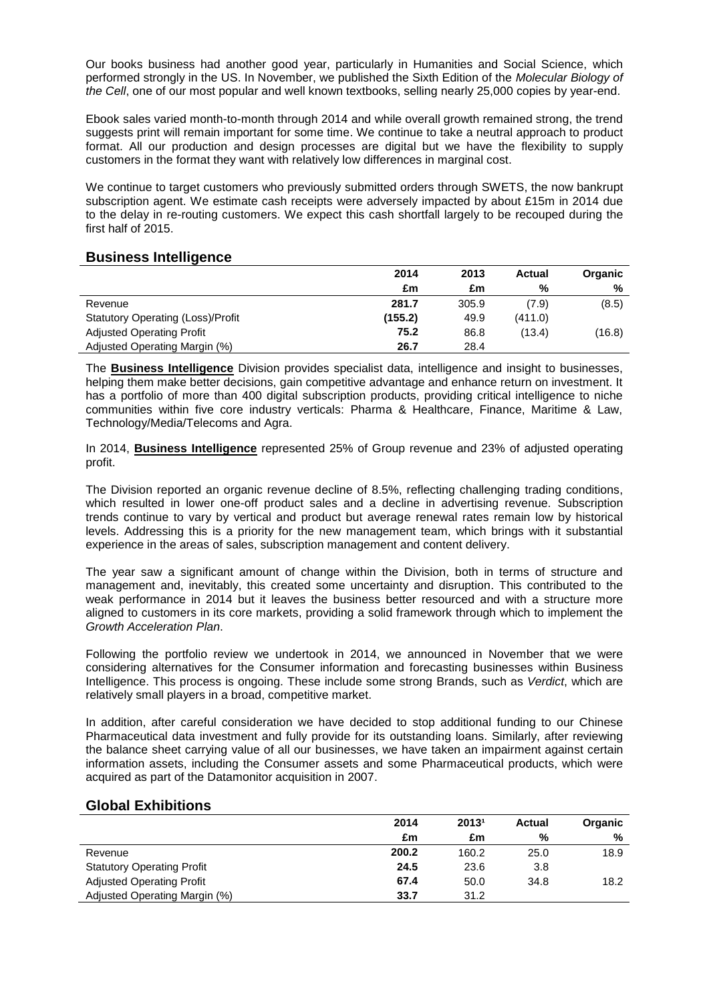Our books business had another good year, particularly in Humanities and Social Science, which performed strongly in the US. In November, we published the Sixth Edition of the *Molecular Biology of the Cell*, one of our most popular and well known textbooks, selling nearly 25,000 copies by year-end.

Ebook sales varied month-to-month through 2014 and while overall growth remained strong, the trend suggests print will remain important for some time. We continue to take a neutral approach to product format. All our production and design processes are digital but we have the flexibility to supply customers in the format they want with relatively low differences in marginal cost.

We continue to target customers who previously submitted orders through SWETS, the now bankrupt subscription agent. We estimate cash receipts were adversely impacted by about £15m in 2014 due to the delay in re-routing customers. We expect this cash shortfall largely to be recouped during the first half of 2015.

### **Business Intelligence**

|                                          | 2014    | 2013  | Actual  | <b>Organic</b> |
|------------------------------------------|---------|-------|---------|----------------|
|                                          | £m      | £m    | %       | %              |
| Revenue                                  | 281.7   | 305.9 | (7.9)   | (8.5)          |
| <b>Statutory Operating (Loss)/Profit</b> | (155.2) | 49.9  | (411.0) |                |
| <b>Adjusted Operating Profit</b>         | 75.2    | 86.8  | (13.4)  | (16.8)         |
| Adjusted Operating Margin (%)            | 26.7    | 28.4  |         |                |

The **Business Intelligence** Division provides specialist data, intelligence and insight to businesses, helping them make better decisions, gain competitive advantage and enhance return on investment. It has a portfolio of more than 400 digital subscription products, providing critical intelligence to niche communities within five core industry verticals: Pharma & Healthcare, Finance, Maritime & Law, Technology/Media/Telecoms and Agra.

In 2014, **Business Intelligence** represented 25% of Group revenue and 23% of adjusted operating profit.

The Division reported an organic revenue decline of 8.5%, reflecting challenging trading conditions, which resulted in lower one-off product sales and a decline in advertising revenue. Subscription trends continue to vary by vertical and product but average renewal rates remain low by historical levels. Addressing this is a priority for the new management team, which brings with it substantial experience in the areas of sales, subscription management and content delivery.

The year saw a significant amount of change within the Division, both in terms of structure and management and, inevitably, this created some uncertainty and disruption. This contributed to the weak performance in 2014 but it leaves the business better resourced and with a structure more aligned to customers in its core markets, providing a solid framework through which to implement the *Growth Acceleration Plan*.

Following the portfolio review we undertook in 2014, we announced in November that we were considering alternatives for the Consumer information and forecasting businesses within Business Intelligence. This process is ongoing. These include some strong Brands, such as *Verdict*, which are relatively small players in a broad, competitive market.

In addition, after careful consideration we have decided to stop additional funding to our Chinese Pharmaceutical data investment and fully provide for its outstanding loans. Similarly, after reviewing the balance sheet carrying value of all our businesses, we have taken an impairment against certain information assets, including the Consumer assets and some Pharmaceutical products, which were acquired as part of the Datamonitor acquisition in 2007.

### **Global Exhibitions**

|                                   | 2014  | 20131 | <b>Actual</b> | <b>Organic</b> |
|-----------------------------------|-------|-------|---------------|----------------|
|                                   | £m    | £m    | %             | %              |
| Revenue                           | 200.2 | 160.2 | 25.0          | 18.9           |
| <b>Statutory Operating Profit</b> | 24.5  | 23.6  | 3.8           |                |
| <b>Adjusted Operating Profit</b>  | 67.4  | 50.0  | 34.8          | 18.2           |
| Adjusted Operating Margin (%)     | 33.7  | 31.2  |               |                |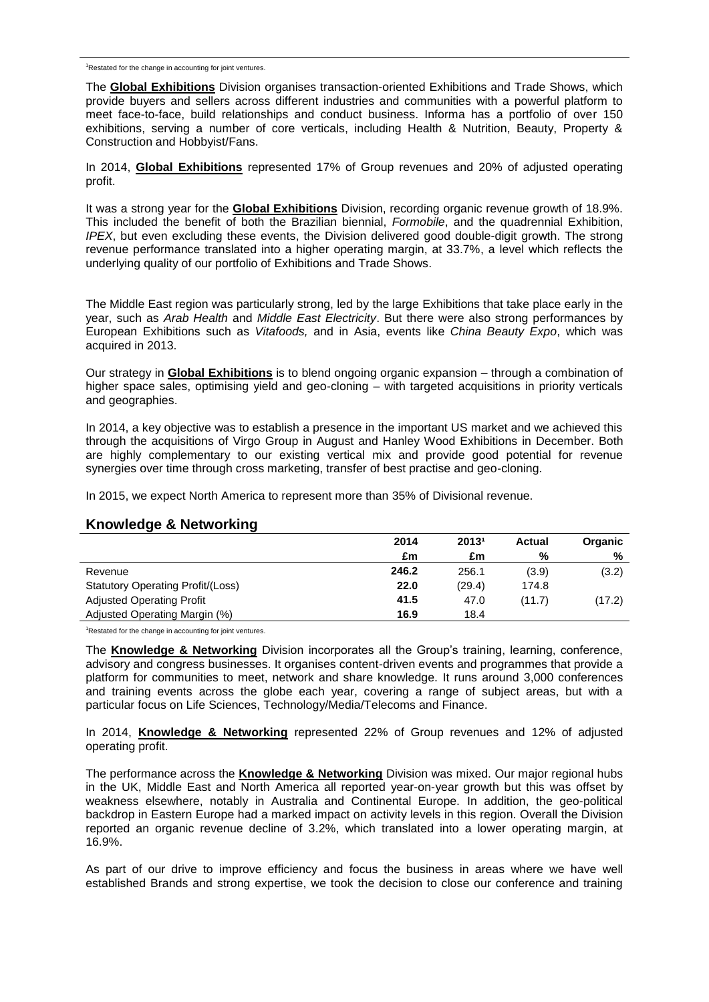<sup>1</sup>Restated for the change in accounting for joint ventures.

The **Global Exhibitions** Division organises transaction-oriented Exhibitions and Trade Shows, which provide buyers and sellers across different industries and communities with a powerful platform to meet face-to-face, build relationships and conduct business. Informa has a portfolio of over 150 exhibitions, serving a number of core verticals, including Health & Nutrition, Beauty, Property & Construction and Hobbyist/Fans.

In 2014, **Global Exhibitions** represented 17% of Group revenues and 20% of adjusted operating profit.

It was a strong year for the **Global Exhibitions** Division, recording organic revenue growth of 18.9%. This included the benefit of both the Brazilian biennial, *Formobile*, and the quadrennial Exhibition, *IPEX*, but even excluding these events, the Division delivered good double-digit growth. The strong revenue performance translated into a higher operating margin, at 33.7%, a level which reflects the underlying quality of our portfolio of Exhibitions and Trade Shows.

The Middle East region was particularly strong, led by the large Exhibitions that take place early in the year, such as *Arab Health* and *Middle East Electricity*. But there were also strong performances by European Exhibitions such as *Vitafoods,* and in Asia, events like *China Beauty Expo*, which was acquired in 2013.

Our strategy in **Global Exhibitions** is to blend ongoing organic expansion – through a combination of higher space sales, optimising yield and geo-cloning – with targeted acquisitions in priority verticals and geographies.

In 2014, a key objective was to establish a presence in the important US market and we achieved this through the acquisitions of Virgo Group in August and Hanley Wood Exhibitions in December. Both are highly complementary to our existing vertical mix and provide good potential for revenue synergies over time through cross marketing, transfer of best practise and geo-cloning.

In 2015, we expect North America to represent more than 35% of Divisional revenue.

### **Knowledge & Networking**

|                                          | 2014  | 20131  | Actual | <b>Organic</b> |
|------------------------------------------|-------|--------|--------|----------------|
|                                          | £m    | £m     | %      | %              |
| Revenue                                  | 246.2 | 256.1  | (3.9)  | (3.2)          |
| <b>Statutory Operating Profit/(Loss)</b> | 22.0  | (29.4) | 174.8  |                |
| <b>Adjusted Operating Profit</b>         | 41.5  | 47.0   | (11.7) | (17.2)         |
| Adjusted Operating Margin (%)            | 16.9  | 18.4   |        |                |

<sup>1</sup>Restated for the change in accounting for joint ventures.

The **Knowledge & Networking** Division incorporates all the Group's training, learning, conference, advisory and congress businesses. It organises content-driven events and programmes that provide a platform for communities to meet, network and share knowledge. It runs around 3,000 conferences and training events across the globe each year, covering a range of subject areas, but with a particular focus on Life Sciences, Technology/Media/Telecoms and Finance.

In 2014, **Knowledge & Networking** represented 22% of Group revenues and 12% of adjusted operating profit.

The performance across the **Knowledge & Networking** Division was mixed. Our major regional hubs in the UK, Middle East and North America all reported year-on-year growth but this was offset by weakness elsewhere, notably in Australia and Continental Europe. In addition, the geo-political backdrop in Eastern Europe had a marked impact on activity levels in this region. Overall the Division reported an organic revenue decline of 3.2%, which translated into a lower operating margin, at 16.9%.

As part of our drive to improve efficiency and focus the business in areas where we have well established Brands and strong expertise, we took the decision to close our conference and training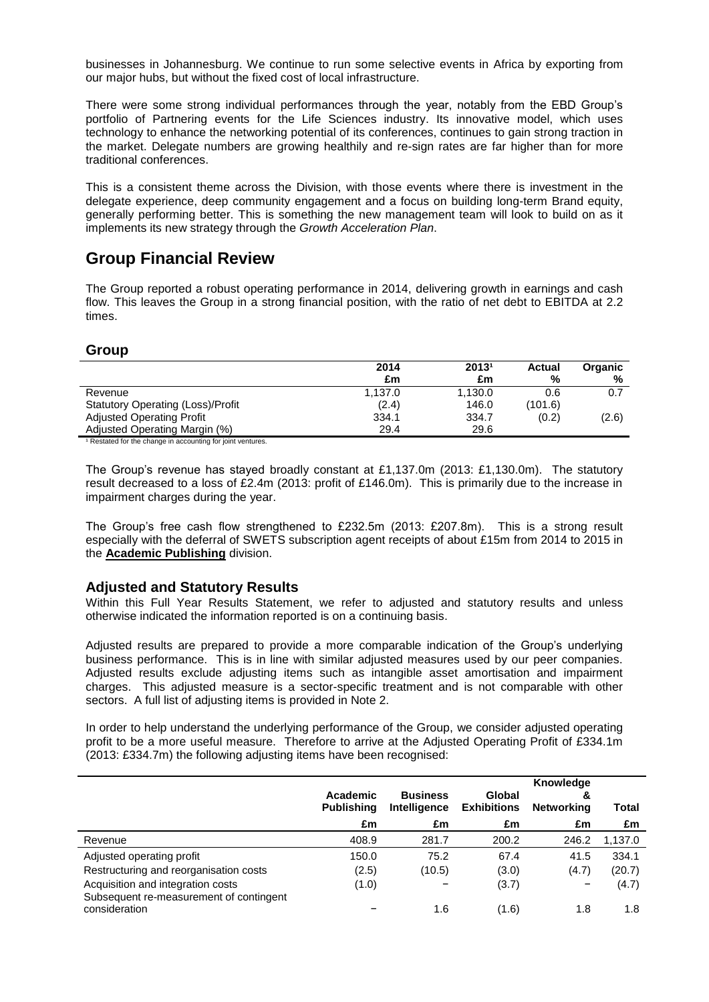businesses in Johannesburg. We continue to run some selective events in Africa by exporting from our major hubs, but without the fixed cost of local infrastructure.

There were some strong individual performances through the year, notably from the EBD Group's portfolio of Partnering events for the Life Sciences industry. Its innovative model, which uses technology to enhance the networking potential of its conferences, continues to gain strong traction in the market. Delegate numbers are growing healthily and re-sign rates are far higher than for more traditional conferences.

This is a consistent theme across the Division, with those events where there is investment in the delegate experience, deep community engagement and a focus on building long-term Brand equity, generally performing better. This is something the new management team will look to build on as it implements its new strategy through the *Growth Acceleration Plan*.

# **Group Financial Review**

The Group reported a robust operating performance in 2014, delivering growth in earnings and cash flow. This leaves the Group in a strong financial position, with the ratio of net debt to EBITDA at 2.2 times.

### **Group**

|                                          | 2014    | 20131   | Actual  | <b>Organic</b> |
|------------------------------------------|---------|---------|---------|----------------|
|                                          | £m      | £m      | %       | %              |
| Revenue                                  | 1.137.0 | 1.130.0 | 0.6     | 0.7            |
| <b>Statutory Operating (Loss)/Profit</b> | (2.4)   | 146.0   | (101.6) |                |
| <b>Adjusted Operating Profit</b>         | 334.1   | 334.7   | (0.2)   | (2.6)          |
| Adjusted Operating Margin (%)            | 29.4    | 29.6    |         |                |

<sup>1</sup> Restated for the change in accounting for joint ventures.

The Group's revenue has stayed broadly constant at £1,137.0m (2013: £1,130.0m). The statutory result decreased to a loss of £2.4m (2013: profit of £146.0m). This is primarily due to the increase in impairment charges during the year.

The Group's free cash flow strengthened to £232.5m (2013: £207.8m). This is a strong result especially with the deferral of SWETS subscription agent receipts of about £15m from 2014 to 2015 in the **Academic Publishing** division.

### **Adjusted and Statutory Results**

Within this Full Year Results Statement, we refer to adjusted and statutory results and unless otherwise indicated the information reported is on a continuing basis.

Adjusted results are prepared to provide a more comparable indication of the Group's underlying business performance. This is in line with similar adjusted measures used by our peer companies. Adjusted results exclude adjusting items such as intangible asset amortisation and impairment charges. This adjusted measure is a sector-specific treatment and is not comparable with other sectors. A full list of adjusting items is provided in Note 2.

In order to help understand the underlying performance of the Group, we consider adjusted operating profit to be a more useful measure. Therefore to arrive at the Adjusted Operating Profit of £334.1m (2013: £334.7m) the following adjusting items have been recognised:

|                                                          | Academic<br><b>Publishing</b> | <b>Business</b><br>Intelligence | Global<br><b>Exhibitions</b> | Knowledge<br>&<br>Networking | Total   |
|----------------------------------------------------------|-------------------------------|---------------------------------|------------------------------|------------------------------|---------|
|                                                          | £m                            | £m                              | £m                           | £m                           | £m      |
| Revenue                                                  | 408.9                         | 281.7                           | 200.2                        | 246.2                        | 1,137.0 |
| Adjusted operating profit                                | 150.0                         | 75.2                            | 67.4                         | 41.5                         | 334.1   |
| Restructuring and reorganisation costs                   | (2.5)                         | (10.5)                          | (3.0)                        | (4.7)                        | (20.7)  |
| Acquisition and integration costs                        | (1.0)                         |                                 | (3.7)                        |                              | (4.7)   |
| Subsequent re-measurement of contingent<br>consideration |                               | 1.6                             | (1.6)                        | 1.8                          | 1.8     |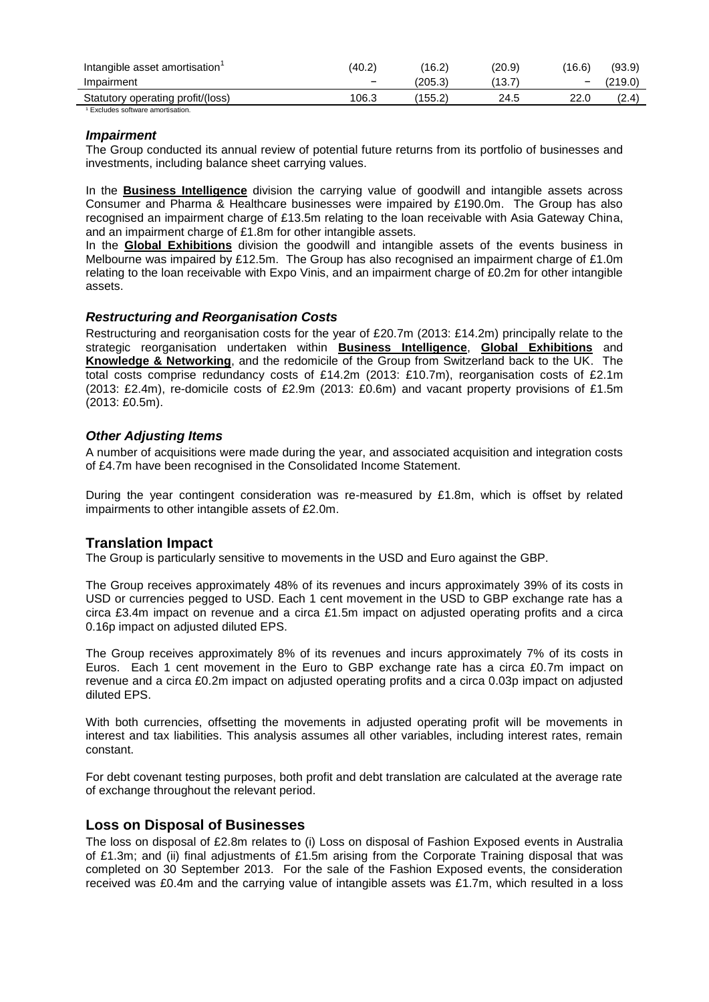| Intangible asset amortisation                | (40.2)                   | (16.2)  | (20.9) | (16.6) | (93.9) |
|----------------------------------------------|--------------------------|---------|--------|--------|--------|
| Impairment                                   | $\overline{\phantom{0}}$ | (205.3) | .13.7  | -      | 219.0) |
| Statutory operating profit/(loss)            | 106.3                    | 155.2   | 24.5   | 22.C   | (2.4)  |
| <sup>1</sup> Excludes software amortisation. |                          |         |        |        |        |

#### *Impairment*

The Group conducted its annual review of potential future returns from its portfolio of businesses and investments, including balance sheet carrying values.

In the **Business Intelligence** division the carrying value of goodwill and intangible assets across Consumer and Pharma & Healthcare businesses were impaired by £190.0m. The Group has also recognised an impairment charge of £13.5m relating to the loan receivable with Asia Gateway China, and an impairment charge of £1.8m for other intangible assets.

In the **Global Exhibitions** division the goodwill and intangible assets of the events business in Melbourne was impaired by £12.5m. The Group has also recognised an impairment charge of £1.0m relating to the loan receivable with Expo Vinis, and an impairment charge of £0.2m for other intangible assets.

#### *Restructuring and Reorganisation Costs*

Restructuring and reorganisation costs for the year of £20.7m (2013: £14.2m) principally relate to the strategic reorganisation undertaken within **Business Intelligence**, **Global Exhibitions** and **Knowledge & Networking**, and the redomicile of the Group from Switzerland back to the UK. The total costs comprise redundancy costs of £14.2m (2013: £10.7m), reorganisation costs of £2.1m (2013: £2.4m), re-domicile costs of £2.9m (2013: £0.6m) and vacant property provisions of £1.5m (2013: £0.5m).

#### *Other Adjusting Items*

A number of acquisitions were made during the year, and associated acquisition and integration costs of £4.7m have been recognised in the Consolidated Income Statement.

During the year contingent consideration was re-measured by £1.8m, which is offset by related impairments to other intangible assets of £2.0m.

### **Translation Impact**

The Group is particularly sensitive to movements in the USD and Euro against the GBP.

The Group receives approximately 48% of its revenues and incurs approximately 39% of its costs in USD or currencies pegged to USD. Each 1 cent movement in the USD to GBP exchange rate has a circa £3.4m impact on revenue and a circa £1.5m impact on adjusted operating profits and a circa 0.16p impact on adjusted diluted EPS.

The Group receives approximately 8% of its revenues and incurs approximately 7% of its costs in Euros. Each 1 cent movement in the Euro to GBP exchange rate has a circa £0.7m impact on revenue and a circa £0.2m impact on adjusted operating profits and a circa 0.03p impact on adjusted diluted EPS.

With both currencies, offsetting the movements in adjusted operating profit will be movements in interest and tax liabilities. This analysis assumes all other variables, including interest rates, remain constant.

For debt covenant testing purposes, both profit and debt translation are calculated at the average rate of exchange throughout the relevant period.

### **Loss on Disposal of Businesses**

The loss on disposal of £2.8m relates to (i) Loss on disposal of Fashion Exposed events in Australia of £1.3m; and (ii) final adjustments of £1.5m arising from the Corporate Training disposal that was completed on 30 September 2013. For the sale of the Fashion Exposed events, the consideration received was £0.4m and the carrying value of intangible assets was £1.7m, which resulted in a loss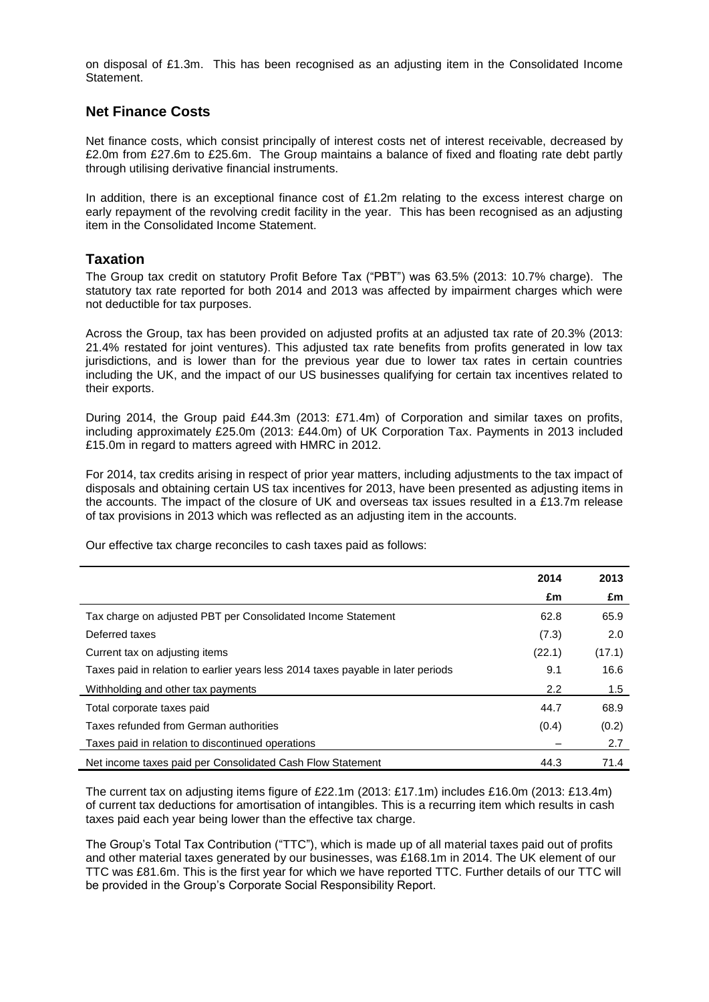on disposal of £1.3m. This has been recognised as an adjusting item in the Consolidated Income **Statement** 

# **Net Finance Costs**

Net finance costs, which consist principally of interest costs net of interest receivable, decreased by £2.0m from £27.6m to £25.6m. The Group maintains a balance of fixed and floating rate debt partly through utilising derivative financial instruments.

In addition, there is an exceptional finance cost of £1.2m relating to the excess interest charge on early repayment of the revolving credit facility in the year. This has been recognised as an adjusting item in the Consolidated Income Statement.

### **Taxation**

The Group tax credit on statutory Profit Before Tax ("PBT") was 63.5% (2013: 10.7% charge). The statutory tax rate reported for both 2014 and 2013 was affected by impairment charges which were not deductible for tax purposes.

Across the Group, tax has been provided on adjusted profits at an adjusted tax rate of 20.3% (2013: 21.4% restated for joint ventures). This adjusted tax rate benefits from profits generated in low tax jurisdictions, and is lower than for the previous year due to lower tax rates in certain countries including the UK, and the impact of our US businesses qualifying for certain tax incentives related to their exports.

During 2014, the Group paid £44.3m (2013: £71.4m) of Corporation and similar taxes on profits, including approximately £25.0m (2013: £44.0m) of UK Corporation Tax. Payments in 2013 included £15.0m in regard to matters agreed with HMRC in 2012.

For 2014, tax credits arising in respect of prior year matters, including adjustments to the tax impact of disposals and obtaining certain US tax incentives for 2013, have been presented as adjusting items in the accounts. The impact of the closure of UK and overseas tax issues resulted in a £13.7m release of tax provisions in 2013 which was reflected as an adjusting item in the accounts.

Our effective tax charge reconciles to cash taxes paid as follows:

|                                                                                  | 2014   | 2013   |
|----------------------------------------------------------------------------------|--------|--------|
|                                                                                  | £m     | £m     |
| Tax charge on adjusted PBT per Consolidated Income Statement                     | 62.8   | 65.9   |
| Deferred taxes                                                                   | (7.3)  | 2.0    |
| Current tax on adjusting items                                                   | (22.1) | (17.1) |
| Taxes paid in relation to earlier years less 2014 taxes payable in later periods | 9.1    | 16.6   |
| Withholding and other tax payments                                               | 2.2    | 1.5    |
| Total corporate taxes paid                                                       | 44.7   | 68.9   |
| Taxes refunded from German authorities                                           | (0.4)  | (0.2)  |
| Taxes paid in relation to discontinued operations                                |        | 2.7    |
| Net income taxes paid per Consolidated Cash Flow Statement                       | 44.3   | 71.4   |

The current tax on adjusting items figure of £22.1m (2013: £17.1m) includes £16.0m (2013: £13.4m) of current tax deductions for amortisation of intangibles. This is a recurring item which results in cash taxes paid each year being lower than the effective tax charge.

The Group's Total Tax Contribution ("TTC"), which is made up of all material taxes paid out of profits and other material taxes generated by our businesses, was £168.1m in 2014. The UK element of our TTC was £81.6m. This is the first year for which we have reported TTC. Further details of our TTC will be provided in the Group's Corporate Social Responsibility Report.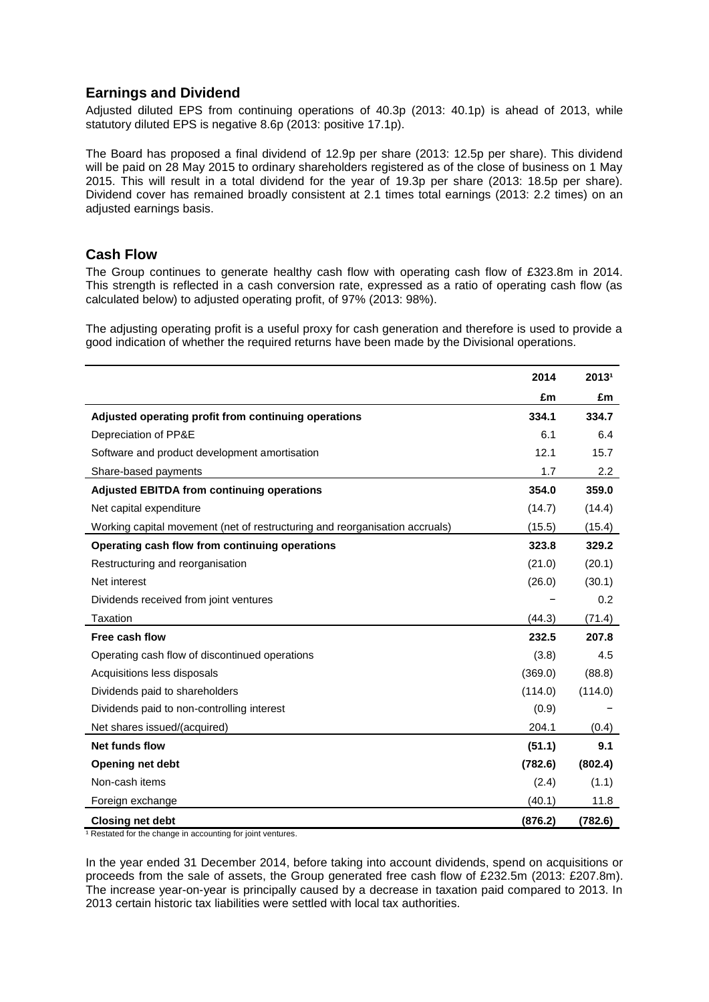# **Earnings and Dividend**

Adjusted diluted EPS from continuing operations of 40.3p (2013: 40.1p) is ahead of 2013, while statutory diluted EPS is negative 8.6p (2013: positive 17.1p).

The Board has proposed a final dividend of 12.9p per share (2013: 12.5p per share). This dividend will be paid on 28 May 2015 to ordinary shareholders registered as of the close of business on 1 May 2015. This will result in a total dividend for the year of 19.3p per share (2013: 18.5p per share). Dividend cover has remained broadly consistent at 2.1 times total earnings (2013: 2.2 times) on an adiusted earnings basis.

### **Cash Flow**

The Group continues to generate healthy cash flow with operating cash flow of £323.8m in 2014. This strength is reflected in a cash conversion rate, expressed as a ratio of operating cash flow (as calculated below) to adjusted operating profit, of 97% (2013: 98%).

The adjusting operating profit is a useful proxy for cash generation and therefore is used to provide a good indication of whether the required returns have been made by the Divisional operations.

|                                                                             | 2014    | 20131   |
|-----------------------------------------------------------------------------|---------|---------|
|                                                                             | £m      | £m      |
| Adjusted operating profit from continuing operations                        | 334.1   | 334.7   |
| Depreciation of PP&E                                                        | 6.1     | 6.4     |
| Software and product development amortisation                               | 12.1    | 15.7    |
| Share-based payments                                                        | 1.7     | 2.2     |
| <b>Adjusted EBITDA from continuing operations</b>                           | 354.0   | 359.0   |
| Net capital expenditure                                                     | (14.7)  | (14.4)  |
| Working capital movement (net of restructuring and reorganisation accruals) | (15.5)  | (15.4)  |
| Operating cash flow from continuing operations                              | 323.8   | 329.2   |
| Restructuring and reorganisation                                            | (21.0)  | (20.1)  |
| Net interest                                                                | (26.0)  | (30.1)  |
| Dividends received from joint ventures                                      |         | 0.2     |
| Taxation                                                                    | (44.3)  | (71.4)  |
| Free cash flow                                                              | 232.5   | 207.8   |
| Operating cash flow of discontinued operations                              | (3.8)   | 4.5     |
| Acquisitions less disposals                                                 | (369.0) | (88.8)  |
| Dividends paid to shareholders                                              | (114.0) | (114.0) |
| Dividends paid to non-controlling interest                                  | (0.9)   |         |
| Net shares issued/(acquired)                                                | 204.1   | (0.4)   |
| Net funds flow                                                              | (51.1)  | 9.1     |
| <b>Opening net debt</b>                                                     | (782.6) | (802.4) |
| Non-cash items                                                              | (2.4)   | (1.1)   |
| Foreign exchange                                                            | (40.1)  | 11.8    |
| <b>Closing net debt</b>                                                     | (876.2) | (782.6) |

<sup>1</sup> Restated for the change in accounting for joint ventures.

In the year ended 31 December 2014, before taking into account dividends, spend on acquisitions or proceeds from the sale of assets, the Group generated free cash flow of £232.5m (2013: £207.8m). The increase year-on-year is principally caused by a decrease in taxation paid compared to 2013. In 2013 certain historic tax liabilities were settled with local tax authorities.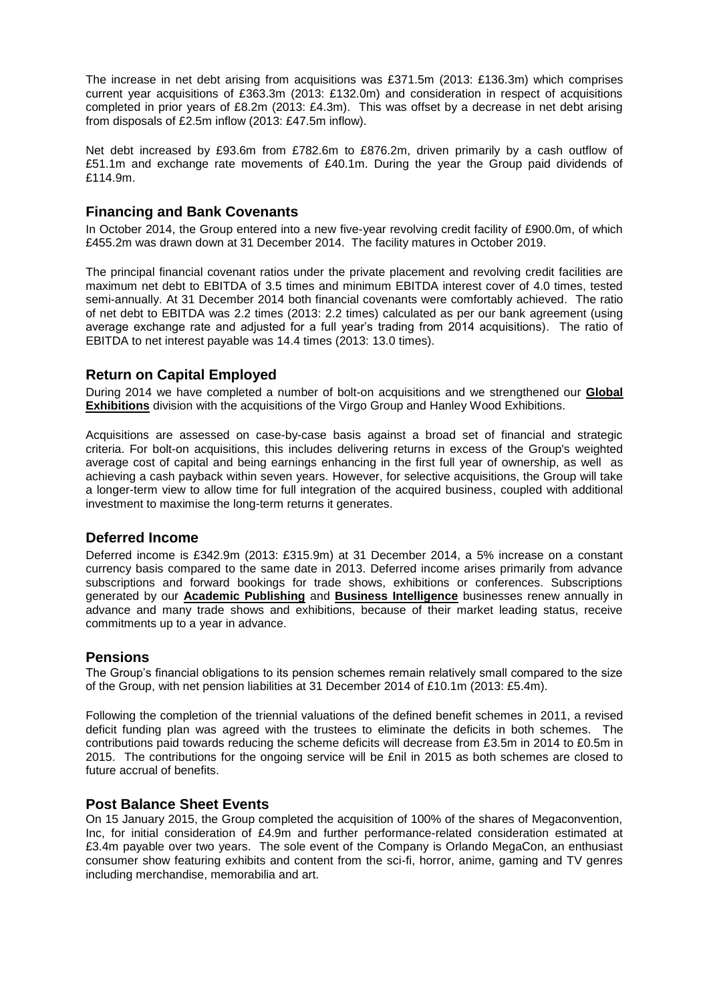The increase in net debt arising from acquisitions was £371.5m (2013: £136.3m) which comprises current year acquisitions of £363.3m (2013: £132.0m) and consideration in respect of acquisitions completed in prior years of £8.2m (2013: £4.3m). This was offset by a decrease in net debt arising from disposals of £2.5m inflow (2013: £47.5m inflow).

Net debt increased by £93.6m from £782.6m to £876.2m, driven primarily by a cash outflow of £51.1m and exchange rate movements of £40.1m. During the year the Group paid dividends of £114.9m.

### **Financing and Bank Covenants**

In October 2014, the Group entered into a new five-year revolving credit facility of £900.0m, of which £455.2m was drawn down at 31 December 2014. The facility matures in October 2019.

The principal financial covenant ratios under the private placement and revolving credit facilities are maximum net debt to EBITDA of 3.5 times and minimum EBITDA interest cover of 4.0 times, tested semi-annually. At 31 December 2014 both financial covenants were comfortably achieved. The ratio of net debt to EBITDA was 2.2 times (2013: 2.2 times) calculated as per our bank agreement (using average exchange rate and adjusted for a full year's trading from 2014 acquisitions). The ratio of EBITDA to net interest payable was 14.4 times (2013: 13.0 times).

### **Return on Capital Employed**

During 2014 we have completed a number of bolt-on acquisitions and we strengthened our **Global Exhibitions** division with the acquisitions of the Virgo Group and Hanley Wood Exhibitions.

Acquisitions are assessed on case-by-case basis against a broad set of financial and strategic criteria. For bolt-on acquisitions, this includes delivering returns in excess of the Group's weighted average cost of capital and being earnings enhancing in the first full year of ownership, as well as achieving a cash payback within seven years. However, for selective acquisitions, the Group will take a longer-term view to allow time for full integration of the acquired business, coupled with additional investment to maximise the long-term returns it generates.

### **Deferred Income**

Deferred income is £342.9m (2013: £315.9m) at 31 December 2014, a 5% increase on a constant currency basis compared to the same date in 2013. Deferred income arises primarily from advance subscriptions and forward bookings for trade shows, exhibitions or conferences. Subscriptions generated by our **Academic Publishing** and **Business Intelligence** businesses renew annually in advance and many trade shows and exhibitions, because of their market leading status, receive commitments up to a year in advance.

### **Pensions**

The Group's financial obligations to its pension schemes remain relatively small compared to the size of the Group, with net pension liabilities at 31 December 2014 of £10.1m (2013: £5.4m).

Following the completion of the triennial valuations of the defined benefit schemes in 2011, a revised deficit funding plan was agreed with the trustees to eliminate the deficits in both schemes. The contributions paid towards reducing the scheme deficits will decrease from £3.5m in 2014 to £0.5m in 2015. The contributions for the ongoing service will be £nil in 2015 as both schemes are closed to future accrual of benefits.

### **Post Balance Sheet Events**

On 15 January 2015, the Group completed the acquisition of 100% of the shares of Megaconvention, Inc, for initial consideration of £4.9m and further performance-related consideration estimated at £3.4m payable over two years. The sole event of the Company is Orlando MegaCon, an enthusiast consumer show featuring exhibits and content from the sci-fi, horror, anime, gaming and TV genres including merchandise, memorabilia and art.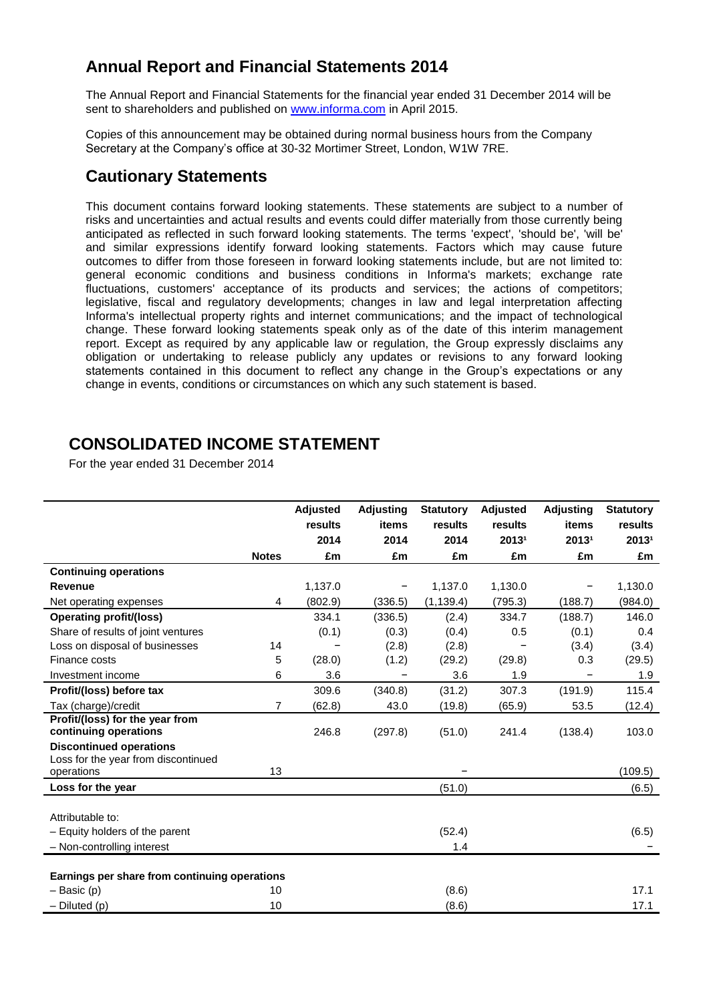# **Annual Report and Financial Statements 2014**

The Annual Report and Financial Statements for the financial year ended 31 December 2014 will be sent to shareholders and published on [www.informa.com](http://www.informa.com/) in April 2015.

Copies of this announcement may be obtained during normal business hours from the Company Secretary at the Company's office at 30-32 Mortimer Street, London, W1W 7RE.

# **Cautionary Statements**

This document contains forward looking statements. These statements are subject to a number of risks and uncertainties and actual results and events could differ materially from those currently being anticipated as reflected in such forward looking statements. The terms 'expect', 'should be', 'will be' and similar expressions identify forward looking statements. Factors which may cause future outcomes to differ from those foreseen in forward looking statements include, but are not limited to: general economic conditions and business conditions in Informa's markets; exchange rate fluctuations, customers' acceptance of its products and services; the actions of competitors; legislative, fiscal and regulatory developments; changes in law and legal interpretation affecting Informa's intellectual property rights and internet communications; and the impact of technological change. These forward looking statements speak only as of the date of this interim management report. Except as required by any applicable law or regulation, the Group expressly disclaims any obligation or undertaking to release publicly any updates or revisions to any forward looking statements contained in this document to reflect any change in the Group's expectations or any change in events, conditions or circumstances on which any such statement is based.

# **CONSOLIDATED INCOME STATEMENT**

For the year ended 31 December 2014

|                                                   |              | Adjusted | Adjusting | <b>Statutory</b> | Adjusted | <b>Adjusting</b> | <b>Statutory</b> |
|---------------------------------------------------|--------------|----------|-----------|------------------|----------|------------------|------------------|
|                                                   |              | results  | items     | results          | results  | items            | results          |
|                                                   |              | 2014     | 2014      | 2014             | 20131    | 20131            | 20131            |
|                                                   | <b>Notes</b> | £m       | £m        | £m               | £m       | £m               | £m               |
| <b>Continuing operations</b>                      |              |          |           |                  |          |                  |                  |
| <b>Revenue</b>                                    |              | 1,137.0  |           | 1,137.0          | 1,130.0  |                  | 1,130.0          |
| Net operating expenses                            | 4            | (802.9)  | (336.5)   | (1, 139.4)       | (795.3)  | (188.7)          | (984.0)          |
| <b>Operating profit/(loss)</b>                    |              | 334.1    | (336.5)   | (2.4)            | 334.7    | (188.7)          | 146.0            |
| Share of results of joint ventures                |              | (0.1)    | (0.3)     | (0.4)            | 0.5      | (0.1)            | 0.4              |
| Loss on disposal of businesses                    | 14           |          | (2.8)     | (2.8)            |          | (3.4)            | (3.4)            |
| Finance costs                                     | 5            | (28.0)   | (1.2)     | (29.2)           | (29.8)   | 0.3              | (29.5)           |
| Investment income                                 | 6            | 3.6      |           | 3.6              | 1.9      |                  | 1.9              |
| Profit/(loss) before tax                          |              | 309.6    | (340.8)   | (31.2)           | 307.3    | (191.9)          | 115.4            |
| Tax (charge)/credit                               | 7            | (62.8)   | 43.0      | (19.8)           | (65.9)   | 53.5             | (12.4)           |
| Profit/(loss) for the year from                   |              |          |           |                  |          |                  |                  |
| continuing operations                             |              | 246.8    | (297.8)   | (51.0)           | 241.4    | (138.4)          | 103.0            |
| <b>Discontinued operations</b>                    |              |          |           |                  |          |                  |                  |
| Loss for the year from discontinued<br>operations | 13           |          |           |                  |          |                  | (109.5)          |
|                                                   |              |          |           |                  |          |                  |                  |
| Loss for the year                                 |              |          |           | (51.0)           |          |                  | (6.5)            |
| Attributable to:                                  |              |          |           |                  |          |                  |                  |
| - Equity holders of the parent                    |              |          |           | (52.4)           |          |                  | (6.5)            |
| - Non-controlling interest                        |              |          |           | 1.4              |          |                  |                  |
|                                                   |              |          |           |                  |          |                  |                  |
| Earnings per share from continuing operations     |              |          |           |                  |          |                  |                  |
| $-$ Basic (p)                                     | 10           |          |           | (8.6)            |          |                  | 17.1             |
| $-$ Diluted (p)                                   | 10           |          |           | (8.6)            |          |                  | 17.1             |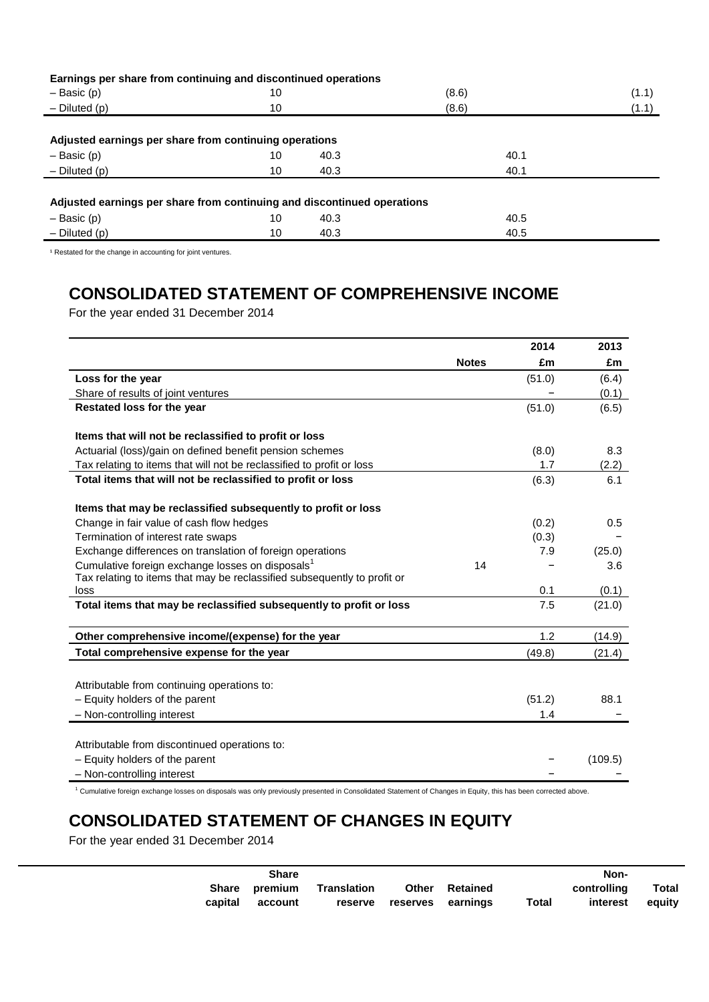| Earnings per share from continuing and discontinued operations          |    |      |       |       |
|-------------------------------------------------------------------------|----|------|-------|-------|
| $-$ Basic (p)                                                           | 10 |      | (8.6) | (1.1) |
| $-$ Diluted (p)                                                         | 10 |      | (8.6) | (1.1) |
|                                                                         |    |      |       |       |
| Adjusted earnings per share from continuing operations                  |    |      |       |       |
| $-$ Basic (p)                                                           | 10 | 40.3 | 40.1  |       |
| $-$ Diluted (p)                                                         | 10 | 40.3 | 40.1  |       |
|                                                                         |    |      |       |       |
| Adjusted earnings per share from continuing and discontinued operations |    |      |       |       |
| $-$ Basic (p)                                                           | 10 | 40.3 | 40.5  |       |
| $-$ Diluted (p)                                                         | 10 | 40.3 | 40.5  |       |

 $1$  Restated for the change in accounting for joint ventures.

# **CONSOLIDATED STATEMENT OF COMPREHENSIVE INCOME**

For the year ended 31 December 2014

|                                                                          |              | 2014   | 2013    |
|--------------------------------------------------------------------------|--------------|--------|---------|
|                                                                          | <b>Notes</b> | £m     | £m      |
| Loss for the year                                                        |              | (51.0) | (6.4)   |
| Share of results of joint ventures                                       |              |        | (0.1)   |
| Restated loss for the year                                               |              | (51.0) | (6.5)   |
| Items that will not be reclassified to profit or loss                    |              |        |         |
| Actuarial (loss)/gain on defined benefit pension schemes                 |              | (8.0)  | 8.3     |
| Tax relating to items that will not be reclassified to profit or loss    |              | 1.7    | (2.2)   |
| Total items that will not be reclassified to profit or loss              |              | (6.3)  | 6.1     |
| Items that may be reclassified subsequently to profit or loss            |              |        |         |
| Change in fair value of cash flow hedges                                 |              | (0.2)  | 0.5     |
| Termination of interest rate swaps                                       |              | (0.3)  |         |
| Exchange differences on translation of foreign operations                |              | 7.9    | (25.0)  |
| Cumulative foreign exchange losses on disposals <sup>1</sup>             | 14           |        | 3.6     |
| Tax relating to items that may be reclassified subsequently to profit or |              |        |         |
| loss                                                                     |              | 0.1    | (0.1)   |
| Total items that may be reclassified subsequently to profit or loss      |              | 7.5    | (21.0)  |
| Other comprehensive income/(expense) for the year                        |              | 1.2    | (14.9)  |
| Total comprehensive expense for the year                                 |              | (49.8) | (21.4)  |
| Attributable from continuing operations to:                              |              |        |         |
| - Equity holders of the parent                                           |              | (51.2) | 88.1    |
| - Non-controlling interest                                               |              |        |         |
|                                                                          |              | 1.4    |         |
| Attributable from discontinued operations to:                            |              |        |         |
| - Equity holders of the parent                                           |              |        | (109.5) |
| - Non-controlling interest                                               |              |        |         |

<sup>1</sup> Cumulative foreign exchange losses on disposals was only previously presented in Consolidated Statement of Changes in Equity, this has been corrected above.

# **CONSOLIDATED STATEMENT OF CHANGES IN EQUITY**

For the year ended 31 December 2014

|         | Share                    |             |                           |                       |       | Non-                    |                 |
|---------|--------------------------|-------------|---------------------------|-----------------------|-------|-------------------------|-----------------|
| capital | Share premium<br>account | Translation | reserve reserves earnings | <b>Other Retained</b> | Total | controlling<br>interest | Total<br>equity |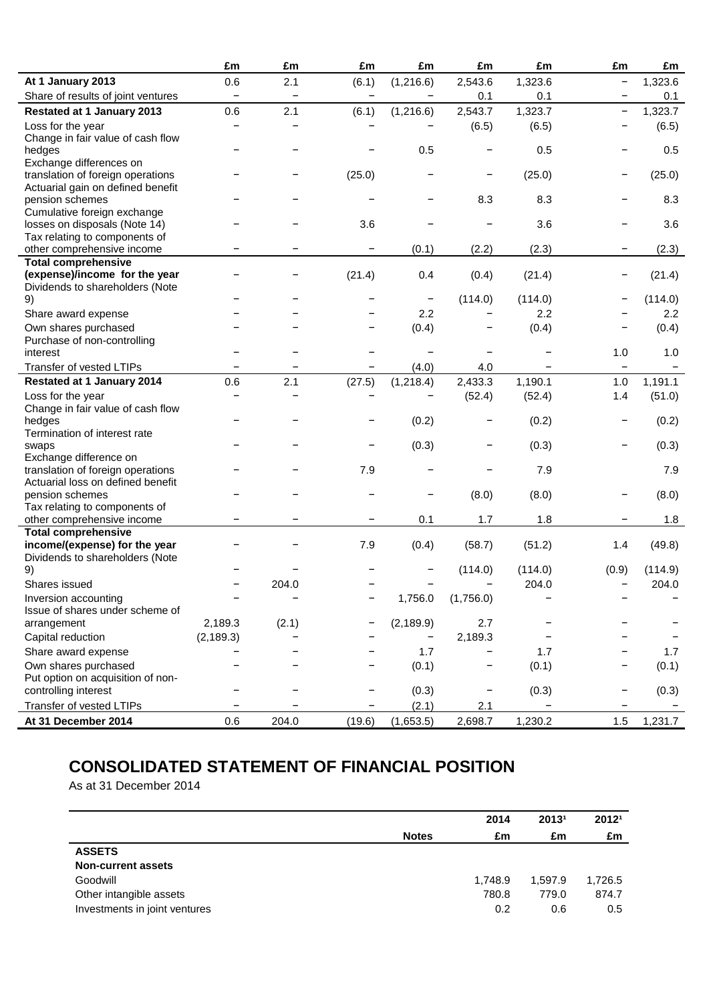|                                                                  | £m                | £m                       | £m                       | £m                       | £m        | £m      | £m                       | £m      |
|------------------------------------------------------------------|-------------------|--------------------------|--------------------------|--------------------------|-----------|---------|--------------------------|---------|
| At 1 January 2013                                                | 0.6               | 2.1                      | (6.1)                    | (1,216.6)                | 2,543.6   | 1,323.6 | $\qquad \qquad -$        | 1,323.6 |
| Share of results of joint ventures                               | $\qquad \qquad -$ | $\overline{\phantom{0}}$ | $\overline{\phantom{a}}$ |                          | 0.1       | 0.1     |                          | 0.1     |
| <b>Restated at 1 January 2013</b>                                | 0.6               | 2.1                      | (6.1)                    | (1,216.6)                | 2,543.7   | 1,323.7 | -                        | 1,323.7 |
| Loss for the year<br>Change in fair value of cash flow           |                   |                          |                          |                          | (6.5)     | (6.5)   |                          | (6.5)   |
| hedges<br>Exchange differences on                                |                   |                          |                          | 0.5                      |           | 0.5     | -                        | 0.5     |
| translation of foreign operations                                |                   |                          | (25.0)                   |                          |           | (25.0)  | -                        | (25.0)  |
| Actuarial gain on defined benefit<br>pension schemes             |                   |                          |                          |                          | 8.3       | 8.3     |                          | 8.3     |
| Cumulative foreign exchange<br>losses on disposals (Note 14)     |                   |                          | 3.6                      |                          |           | 3.6     |                          | 3.6     |
| Tax relating to components of<br>other comprehensive income      |                   |                          |                          | (0.1)                    | (2.2)     | (2.3)   |                          | (2.3)   |
| <b>Total comprehensive</b>                                       |                   |                          |                          |                          |           |         |                          |         |
| (expense)/income for the year<br>Dividends to shareholders (Note |                   |                          | (21.4)                   | 0.4                      | (0.4)     | (21.4)  |                          | (21.4)  |
| 9)                                                               |                   |                          |                          | $\overline{\phantom{a}}$ | (114.0)   | (114.0) |                          | (114.0) |
| Share award expense                                              |                   |                          |                          | 2.2                      |           | 2.2     |                          | 2.2     |
| Own shares purchased<br>Purchase of non-controlling              |                   |                          |                          | (0.4)                    |           | (0.4)   | -                        | (0.4)   |
| interest                                                         |                   |                          |                          |                          |           |         | 1.0                      | 1.0     |
| Transfer of vested LTIPs                                         |                   |                          |                          | (4.0)                    | 4.0       |         |                          |         |
| <b>Restated at 1 January 2014</b>                                | 0.6               | 2.1                      | (27.5)                   | (1,218.4)                | 2,433.3   | 1,190.1 | 1.0                      | 1,191.1 |
| Loss for the year                                                |                   |                          |                          |                          | (52.4)    | (52.4)  | 1.4                      | (51.0)  |
| Change in fair value of cash flow                                |                   |                          |                          |                          |           |         |                          |         |
| hedges                                                           |                   |                          |                          | (0.2)                    |           | (0.2)   | -                        | (0.2)   |
| Termination of interest rate                                     |                   |                          |                          |                          |           |         |                          |         |
| swaps                                                            |                   |                          |                          | (0.3)                    |           | (0.3)   |                          | (0.3)   |
| Exchange difference on<br>translation of foreign operations      |                   |                          | 7.9                      |                          |           | 7.9     |                          | 7.9     |
| Actuarial loss on defined benefit                                |                   |                          |                          |                          |           |         |                          |         |
| pension schemes                                                  |                   |                          |                          |                          | (8.0)     | (8.0)   |                          | (8.0)   |
| Tax relating to components of                                    |                   |                          |                          |                          |           |         |                          |         |
| other comprehensive income                                       |                   |                          |                          | 0.1                      | 1.7       | 1.8     |                          | 1.8     |
| <b>Total comprehensive</b>                                       |                   |                          |                          |                          |           |         |                          |         |
| income/(expense) for the year<br>Dividends to shareholders (Note |                   |                          | 7.9                      | (0.4)                    | (58.7)    | (51.2)  | 1.4                      | (49.8)  |
| 9)                                                               |                   |                          |                          |                          | (114.0)   | (114.0) | (0.9)                    | (114.9) |
| Shares issued                                                    |                   | 204.0                    |                          |                          |           | 204.0   | $\overline{\phantom{0}}$ | 204.0   |
| Inversion accounting<br>Issue of shares under scheme of          |                   |                          |                          | 1,756.0                  | (1,756.0) |         |                          |         |
| arrangement                                                      | 2,189.3           | (2.1)                    |                          | (2, 189.9)               | 2.7       |         |                          |         |
| Capital reduction                                                | (2, 189.3)        |                          |                          |                          | 2,189.3   |         |                          |         |
| Share award expense                                              |                   |                          |                          | 1.7                      |           | 1.7     |                          | 1.7     |
| Own shares purchased                                             |                   |                          |                          | (0.1)                    |           | (0.1)   | -                        | (0.1)   |
| Put option on acquisition of non-                                |                   |                          |                          |                          |           |         |                          |         |
| controlling interest                                             |                   |                          |                          | (0.3)                    |           | (0.3)   |                          | (0.3)   |
| Transfer of vested LTIPs                                         |                   |                          |                          | (2.1)                    | 2.1       |         |                          |         |
| At 31 December 2014                                              | 0.6               | 204.0                    | (19.6)                   | (1,653.5)                | 2,698.7   | 1,230.2 | 1.5                      | 1,231.7 |

# **CONSOLIDATED STATEMENT OF FINANCIAL POSITION**

As at 31 December 2014

|                               |              | 2014    | 20131   | 20121   |
|-------------------------------|--------------|---------|---------|---------|
|                               | <b>Notes</b> | £m      | £m      | £m      |
| <b>ASSETS</b>                 |              |         |         |         |
| <b>Non-current assets</b>     |              |         |         |         |
| Goodwill                      |              | 1,748.9 | 1,597.9 | 1,726.5 |
| Other intangible assets       |              | 780.8   | 779.0   | 874.7   |
| Investments in joint ventures |              | 0.2     | 0.6     | 0.5     |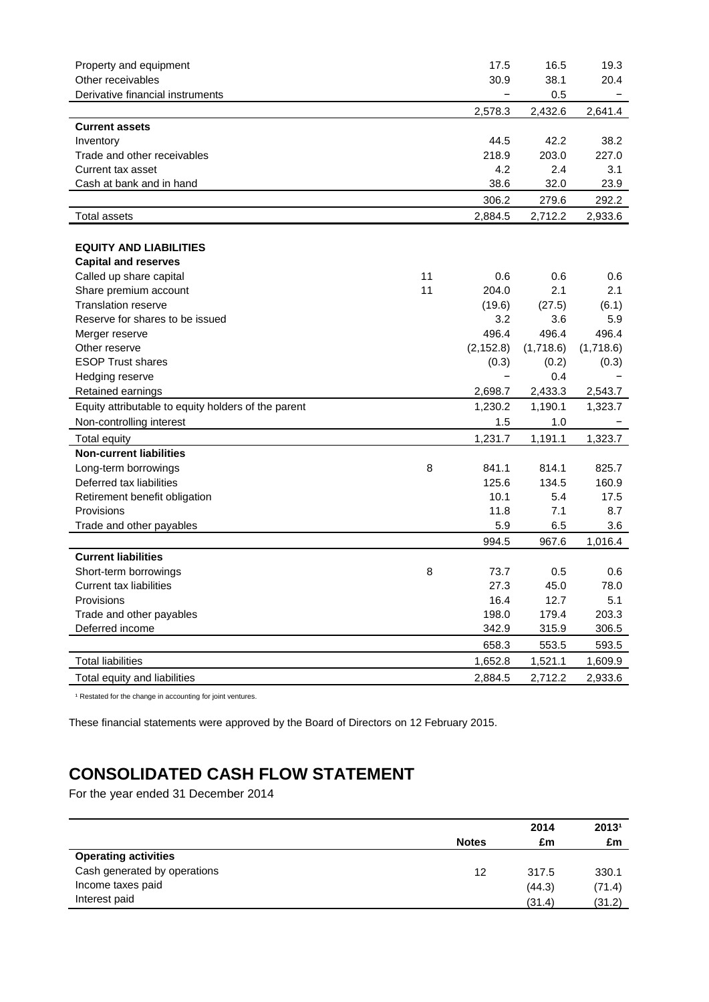| Property and equipment                              |    | 17.5       | 16.5      | 19.3      |
|-----------------------------------------------------|----|------------|-----------|-----------|
| Other receivables                                   |    | 30.9       | 38.1      | 20.4      |
| Derivative financial instruments                    |    | -          | 0.5       |           |
|                                                     |    | 2,578.3    | 2,432.6   | 2,641.4   |
| <b>Current assets</b>                               |    |            |           |           |
| Inventory                                           |    | 44.5       | 42.2      | 38.2      |
| Trade and other receivables                         |    | 218.9      | 203.0     | 227.0     |
| Current tax asset                                   |    | 4.2        | 2.4       | 3.1       |
| Cash at bank and in hand                            |    | 38.6       | 32.0      | 23.9      |
|                                                     |    | 306.2      | 279.6     | 292.2     |
| <b>Total assets</b>                                 |    | 2,884.5    | 2,712.2   | 2,933.6   |
|                                                     |    |            |           |           |
| <b>EQUITY AND LIABILITIES</b>                       |    |            |           |           |
| <b>Capital and reserves</b>                         |    |            |           |           |
| Called up share capital                             | 11 | 0.6        | 0.6       | 0.6       |
| Share premium account                               | 11 | 204.0      | 2.1       | 2.1       |
| <b>Translation reserve</b>                          |    | (19.6)     | (27.5)    | (6.1)     |
| Reserve for shares to be issued                     |    | 3.2        | 3.6       | 5.9       |
| Merger reserve                                      |    | 496.4      | 496.4     | 496.4     |
| Other reserve                                       |    | (2, 152.8) | (1,718.6) | (1,718.6) |
| <b>ESOP Trust shares</b>                            |    | (0.3)      | (0.2)     | (0.3)     |
| Hedging reserve                                     |    |            | 0.4       |           |
| Retained earnings                                   |    | 2,698.7    | 2,433.3   | 2,543.7   |
| Equity attributable to equity holders of the parent |    | 1,230.2    | 1,190.1   | 1,323.7   |
| Non-controlling interest                            |    | 1.5        | 1.0       |           |
| <b>Total equity</b>                                 |    | 1,231.7    | 1,191.1   | 1,323.7   |
| <b>Non-current liabilities</b>                      |    |            |           |           |
| Long-term borrowings                                | 8  | 841.1      | 814.1     | 825.7     |
| Deferred tax liabilities                            |    | 125.6      | 134.5     | 160.9     |
| Retirement benefit obligation                       |    | 10.1       | 5.4       | 17.5      |
| Provisions                                          |    | 11.8       | 7.1       | 8.7       |
| Trade and other payables                            |    | 5.9        | 6.5       | 3.6       |
|                                                     |    | 994.5      | 967.6     | 1,016.4   |
| <b>Current liabilities</b>                          |    |            |           |           |
| Short-term borrowings                               | 8  | 73.7       | 0.5       | 0.6       |
| <b>Current tax liabilities</b>                      |    | 27.3       | 45.0      | 78.0      |
| Provisions                                          |    | 16.4       | 12.7      | 5.1       |
| Trade and other payables                            |    | 198.0      | 179.4     | 203.3     |
| Deferred income                                     |    | 342.9      | 315.9     | 306.5     |
|                                                     |    | 658.3      | 553.5     | 593.5     |
| <b>Total liabilities</b>                            |    | 1,652.8    | 1,521.1   | 1,609.9   |
| Total equity and liabilities                        |    | 2,884.5    | 2,712.2   | 2,933.6   |

<sup>1</sup> Restated for the change in accounting for joint ventures.

These financial statements were approved by the Board of Directors on 12 February 2015.

# **CONSOLIDATED CASH FLOW STATEMENT**

For the year ended 31 December 2014

|                              |              | 2014   | 20131  |
|------------------------------|--------------|--------|--------|
|                              | <b>Notes</b> | £m     | £m     |
| <b>Operating activities</b>  |              |        |        |
| Cash generated by operations | 12           | 317.5  | 330.1  |
| Income taxes paid            |              | (44.3) | (71.4) |
| Interest paid                |              | (31.4) | (31.2) |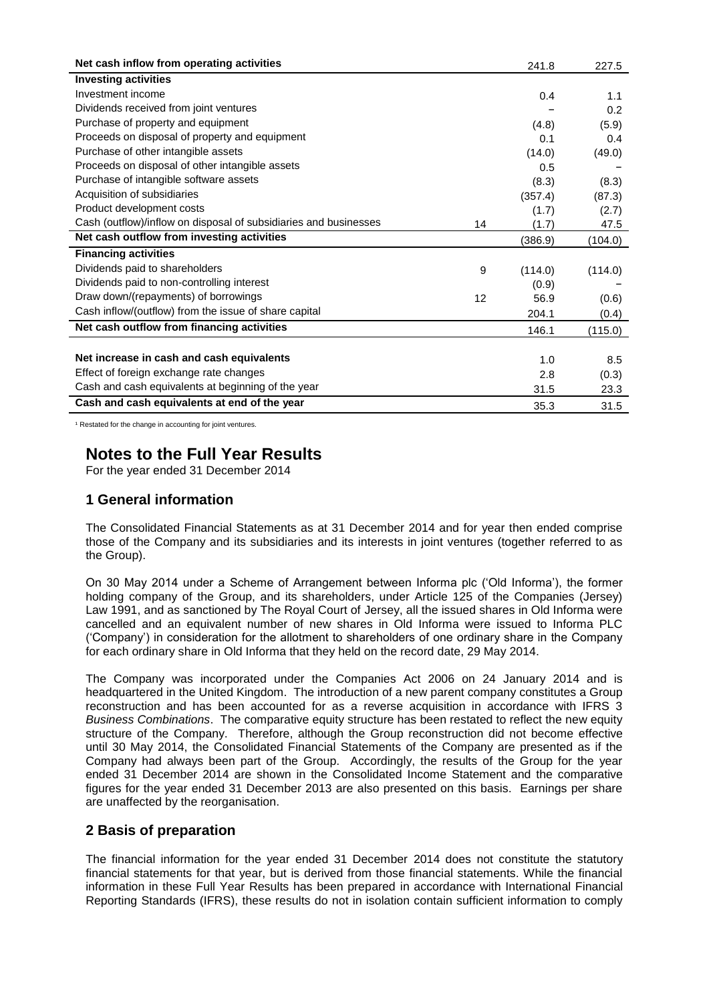| Net cash inflow from operating activities                        |    | 241.8   | 227.5   |
|------------------------------------------------------------------|----|---------|---------|
| <b>Investing activities</b>                                      |    |         |         |
| Investment income                                                |    | 0.4     | 1.1     |
| Dividends received from joint ventures                           |    |         | 0.2     |
| Purchase of property and equipment                               |    | (4.8)   | (5.9)   |
| Proceeds on disposal of property and equipment                   |    | 0.1     | 0.4     |
| Purchase of other intangible assets                              |    | (14.0)  | (49.0)  |
| Proceeds on disposal of other intangible assets                  |    | 0.5     |         |
| Purchase of intangible software assets                           |    | (8.3)   | (8.3)   |
| Acquisition of subsidiaries                                      |    | (357.4) | (87.3)  |
| Product development costs                                        |    | (1.7)   | (2.7)   |
| Cash (outflow)/inflow on disposal of subsidiaries and businesses | 14 | (1.7)   | 47.5    |
| Net cash outflow from investing activities                       |    | (386.9) | (104.0) |
| <b>Financing activities</b>                                      |    |         |         |
| Dividends paid to shareholders                                   | 9  | (114.0) | (114.0) |
| Dividends paid to non-controlling interest                       |    | (0.9)   |         |
| Draw down/(repayments) of borrowings                             | 12 | 56.9    | (0.6)   |
| Cash inflow/(outflow) from the issue of share capital            |    | 204.1   | (0.4)   |
| Net cash outflow from financing activities                       |    | 146.1   | (115.0) |
|                                                                  |    |         |         |
| Net increase in cash and cash equivalents                        |    | 1.0     | 8.5     |
| Effect of foreign exchange rate changes                          |    | 2.8     | (0.3)   |
| Cash and cash equivalents at beginning of the year               |    | 31.5    | 23.3    |
| Cash and cash equivalents at end of the year                     |    | 35.3    | 31.5    |

<sup>1</sup> Restated for the change in accounting for joint ventures.

# **Notes to the Full Year Results**

For the year ended 31 December 2014

### **1 General information**

The Consolidated Financial Statements as at 31 December 2014 and for year then ended comprise those of the Company and its subsidiaries and its interests in joint ventures (together referred to as the Group).

On 30 May 2014 under a Scheme of Arrangement between Informa plc ('Old Informa'), the former holding company of the Group, and its shareholders, under Article 125 of the Companies (Jersey) Law 1991, and as sanctioned by The Royal Court of Jersey, all the issued shares in Old Informa were cancelled and an equivalent number of new shares in Old Informa were issued to Informa PLC ('Company') in consideration for the allotment to shareholders of one ordinary share in the Company for each ordinary share in Old Informa that they held on the record date, 29 May 2014.

The Company was incorporated under the Companies Act 2006 on 24 January 2014 and is headquartered in the United Kingdom. The introduction of a new parent company constitutes a Group reconstruction and has been accounted for as a reverse acquisition in accordance with IFRS 3 *Business Combinations*. The comparative equity structure has been restated to reflect the new equity structure of the Company. Therefore, although the Group reconstruction did not become effective until 30 May 2014, the Consolidated Financial Statements of the Company are presented as if the Company had always been part of the Group. Accordingly, the results of the Group for the year ended 31 December 2014 are shown in the Consolidated Income Statement and the comparative figures for the year ended 31 December 2013 are also presented on this basis. Earnings per share are unaffected by the reorganisation.

### **2 Basis of preparation**

The financial information for the year ended 31 December 2014 does not constitute the statutory financial statements for that year, but is derived from those financial statements. While the financial information in these Full Year Results has been prepared in accordance with International Financial Reporting Standards (IFRS), these results do not in isolation contain sufficient information to comply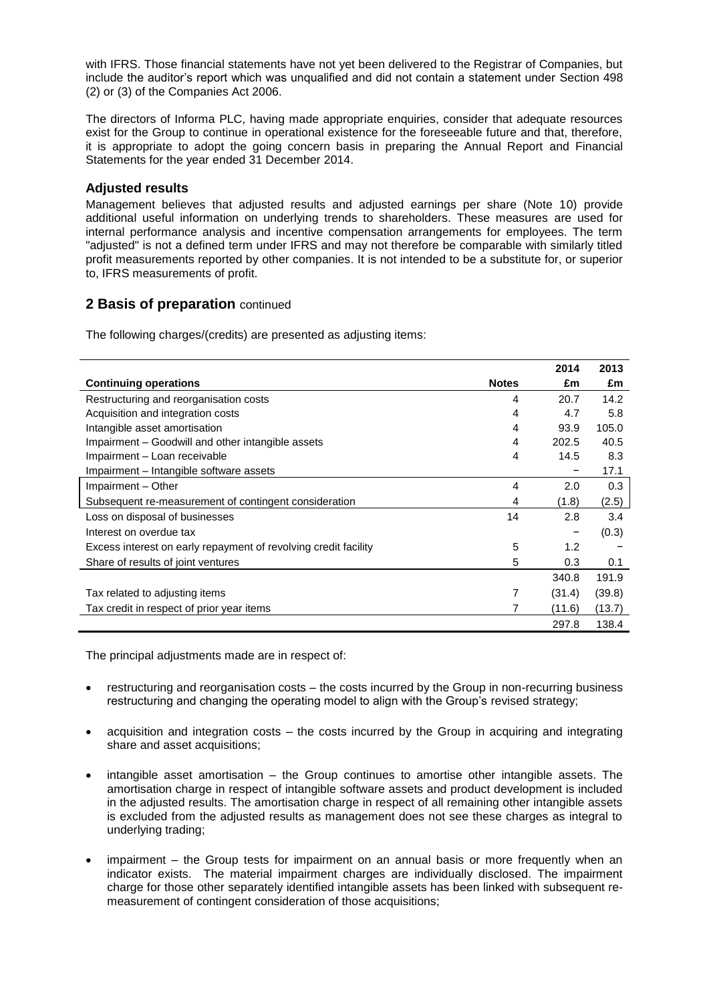with IFRS. Those financial statements have not yet been delivered to the Registrar of Companies, but include the auditor's report which was unqualified and did not contain a statement under Section 498 (2) or (3) of the Companies Act 2006.

The directors of Informa PLC, having made appropriate enquiries, consider that adequate resources exist for the Group to continue in operational existence for the foreseeable future and that, therefore, it is appropriate to adopt the going concern basis in preparing the Annual Report and Financial Statements for the year ended 31 December 2014.

### **Adjusted results**

Management believes that adjusted results and adjusted earnings per share (Note 10) provide additional useful information on underlying trends to shareholders. These measures are used for internal performance analysis and incentive compensation arrangements for employees. The term "adjusted" is not a defined term under IFRS and may not therefore be comparable with similarly titled profit measurements reported by other companies. It is not intended to be a substitute for, or superior to, IFRS measurements of profit.

### **2 Basis of preparation** continued

The following charges/(credits) are presented as adjusting items:

|                                                                 |              | 2014   | 2013   |
|-----------------------------------------------------------------|--------------|--------|--------|
| <b>Continuing operations</b>                                    | <b>Notes</b> | £m     | £m     |
| Restructuring and reorganisation costs                          | 4            | 20.7   | 14.2   |
| Acquisition and integration costs                               | 4            | 4.7    | 5.8    |
| Intangible asset amortisation                                   | 4            | 93.9   | 105.0  |
| Impairment – Goodwill and other intangible assets               | 4            | 202.5  | 40.5   |
| Impairment - Loan receivable                                    | 4            | 14.5   | 8.3    |
| Impairment – Intangible software assets                         |              |        | 17.1   |
| Impairment - Other                                              | 4            | 2.0    | 0.3    |
| Subsequent re-measurement of contingent consideration           | 4            | (1.8)  | (2.5)  |
| Loss on disposal of businesses                                  | 14           | 2.8    | 3.4    |
| Interest on overdue tax                                         |              |        | (0.3)  |
| Excess interest on early repayment of revolving credit facility | 5            | 1.2    |        |
| Share of results of joint ventures                              | 5            | 0.3    | 0.1    |
|                                                                 |              | 340.8  | 191.9  |
| Tax related to adjusting items                                  | 7            | (31.4) | (39.8) |
| Tax credit in respect of prior year items                       |              | (11.6) | (13.7) |
|                                                                 |              | 297.8  | 138.4  |

The principal adjustments made are in respect of:

- restructuring and reorganisation costs the costs incurred by the Group in non-recurring business restructuring and changing the operating model to align with the Group's revised strategy;
- acquisition and integration costs the costs incurred by the Group in acquiring and integrating share and asset acquisitions;
- intangible asset amortisation the Group continues to amortise other intangible assets. The amortisation charge in respect of intangible software assets and product development is included in the adjusted results. The amortisation charge in respect of all remaining other intangible assets is excluded from the adjusted results as management does not see these charges as integral to underlying trading;
- impairment the Group tests for impairment on an annual basis or more frequently when an indicator exists. The material impairment charges are individually disclosed. The impairment charge for those other separately identified intangible assets has been linked with subsequent remeasurement of contingent consideration of those acquisitions;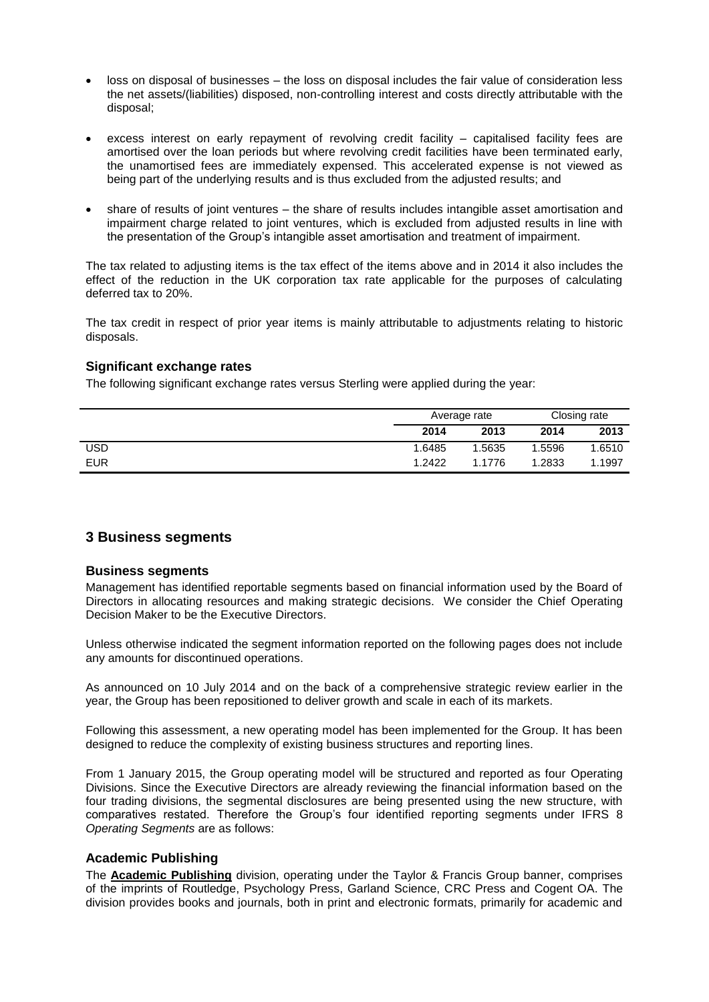- loss on disposal of businesses the loss on disposal includes the fair value of consideration less the net assets/(liabilities) disposed, non-controlling interest and costs directly attributable with the disposal;
- excess interest on early repayment of revolving credit facility capitalised facility fees are amortised over the loan periods but where revolving credit facilities have been terminated early, the unamortised fees are immediately expensed. This accelerated expense is not viewed as being part of the underlying results and is thus excluded from the adjusted results; and
- share of results of joint ventures the share of results includes intangible asset amortisation and impairment charge related to joint ventures, which is excluded from adjusted results in line with the presentation of the Group's intangible asset amortisation and treatment of impairment.

The tax related to adjusting items is the tax effect of the items above and in 2014 it also includes the effect of the reduction in the UK corporation tax rate applicable for the purposes of calculating deferred tax to 20%.

The tax credit in respect of prior year items is mainly attributable to adjustments relating to historic disposals.

### **Significant exchange rates**

The following significant exchange rates versus Sterling were applied during the year:

|            | Average rate |        | Closing rate |        |
|------------|--------------|--------|--------------|--------|
|            | 2014         | 2013   | 2014         | 2013   |
| USD        | 1.6485       | 1.5635 | 1.5596       | 1.6510 |
| <b>EUR</b> | 1.2422       | 1.1776 | .2833        | 1.1997 |

### **3 Business segments**

#### **Business segments**

Management has identified reportable segments based on financial information used by the Board of Directors in allocating resources and making strategic decisions. We consider the Chief Operating Decision Maker to be the Executive Directors.

Unless otherwise indicated the segment information reported on the following pages does not include any amounts for discontinued operations.

As announced on 10 July 2014 and on the back of a comprehensive strategic review earlier in the year, the Group has been repositioned to deliver growth and scale in each of its markets.

Following this assessment, a new operating model has been implemented for the Group. It has been designed to reduce the complexity of existing business structures and reporting lines.

From 1 January 2015, the Group operating model will be structured and reported as four Operating Divisions. Since the Executive Directors are already reviewing the financial information based on the four trading divisions, the segmental disclosures are being presented using the new structure, with comparatives restated. Therefore the Group's four identified reporting segments under IFRS 8 *Operating Segments* are as follows:

#### **Academic Publishing**

The **Academic Publishing** division, operating under the Taylor & Francis Group banner, comprises of the imprints of Routledge, Psychology Press, Garland Science, CRC Press and Cogent OA. The division provides books and journals, both in print and electronic formats, primarily for academic and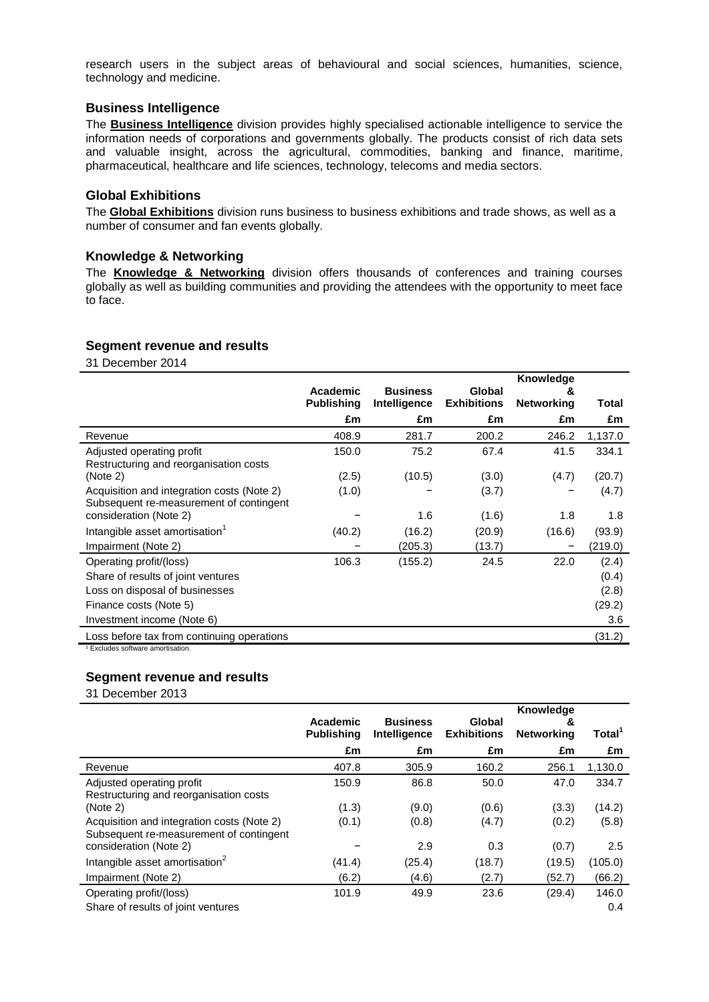research users in the subject areas of behavioural and social sciences, humanities, science, technology and medicine.

### **Business Intelligence**

The **Business Intelligence** division provides highly specialised actionable intelligence to service the information needs of corporations and governments globally. The products consist of rich data sets and valuable insight, across the agricultural, commodities, banking and finance, maritime, pharmaceutical, healthcare and life sciences, technology, telecoms and media sectors.

#### **Global Exhibitions**

The **Global Exhibitions** division runs business to business exhibitions and trade shows, as well as a number of consumer and fan events globally.

### **Knowledge & Networking**

The **Knowledge & Networking** division offers thousands of conferences and training courses globally as well as building communities and providing the attendees with the opportunity to meet face to face.

#### **Segment revenue and results**

31 December 2014

|                                                                                       | Academic          | <b>Business</b> | Global             | <b>Knowledge</b><br>& |         |
|---------------------------------------------------------------------------------------|-------------------|-----------------|--------------------|-----------------------|---------|
|                                                                                       | <b>Publishing</b> | Intelligence    | <b>Exhibitions</b> | <b>Networking</b>     | Total   |
|                                                                                       | £m                | £m              | £m                 | £m                    | £m      |
| Revenue                                                                               | 408.9             | 281.7           | 200.2              | 246.2                 | 1,137.0 |
| Adjusted operating profit<br>Restructuring and reorganisation costs                   | 150.0             | 75.2            | 67.4               | 41.5                  | 334.1   |
| (Note 2)                                                                              | (2.5)             | (10.5)          | (3.0)              | (4.7)                 | (20.7)  |
| Acquisition and integration costs (Note 2)<br>Subsequent re-measurement of contingent | (1.0)             |                 | (3.7)              |                       | (4.7)   |
| consideration (Note 2)                                                                |                   | 1.6             | (1.6)              | 1.8                   | 1.8     |
| Intangible asset amortisation <sup>1</sup>                                            | (40.2)            | (16.2)          | (20.9)             | (16.6)                | (93.9)  |
| Impairment (Note 2)                                                                   |                   | (205.3)         | (13.7)             | -                     | (219.0) |
| Operating profit/(loss)                                                               | 106.3             | (155.2)         | 24.5               | 22.0                  | (2.4)   |
| Share of results of joint ventures                                                    |                   |                 |                    |                       | (0.4)   |
| Loss on disposal of businesses                                                        |                   |                 |                    |                       | (2.8)   |
| Finance costs (Note 5)                                                                |                   |                 |                    |                       | (29.2)  |
| Investment income (Note 6)                                                            |                   |                 |                    |                       | 3.6     |
| Loss before tax from continuing operations                                            |                   |                 |                    |                       | (31.2)  |

<sup>1</sup> Excludes software amortisation.

### **Segment revenue and results**

31 December 2013

|                                            | Academic          | <b>Business</b> | Global             | <b>Knowledge</b><br>& |                    |
|--------------------------------------------|-------------------|-----------------|--------------------|-----------------------|--------------------|
|                                            | <b>Publishing</b> | Intelligence    | <b>Exhibitions</b> | <b>Networking</b>     | Total <sup>1</sup> |
|                                            | £m                | £m              | £m                 | £m                    | £m                 |
| Revenue                                    | 407.8             | 305.9           | 160.2              | 256.1                 | 1,130.0            |
| Adjusted operating profit                  | 150.9             | 86.8            | 50.0               | 47.0                  | 334.7              |
| Restructuring and reorganisation costs     |                   |                 |                    |                       |                    |
| (Note 2)                                   | (1.3)             | (9.0)           | (0.6)              | (3.3)                 | (14.2)             |
| Acquisition and integration costs (Note 2) | (0.1)             | (0.8)           | (4.7)              | (0.2)                 | (5.8)              |
| Subsequent re-measurement of contingent    |                   |                 |                    |                       |                    |
| consideration (Note 2)                     |                   | 2.9             | 0.3                | (0.7)                 | 2.5                |
| Intangible asset amortisation <sup>2</sup> | (41.4)            | (25.4)          | (18.7)             | (19.5)                | (105.0)            |
| Impairment (Note 2)                        | (6.2)             | (4.6)           | (2.7)              | (52.7)                | (66.2)             |
| Operating profit/(loss)                    | 101.9             | 49.9            | 23.6               | (29.4)                | 146.0              |
| Share of results of joint ventures         |                   |                 |                    |                       | 0.4                |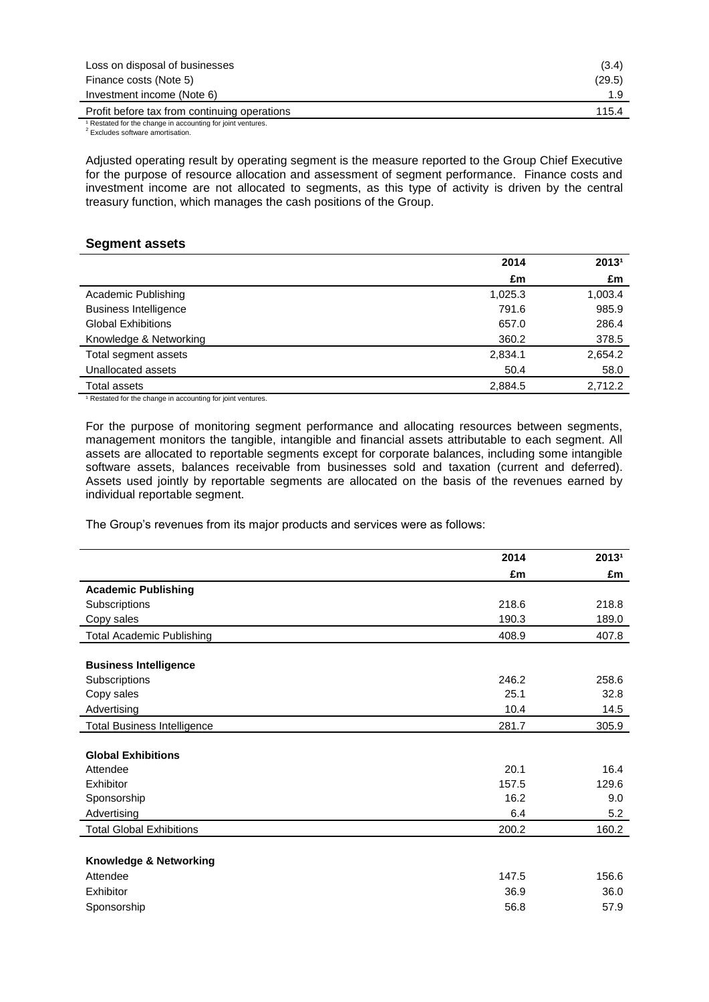| Loss on disposal of businesses               | (3.4)  |
|----------------------------------------------|--------|
| Finance costs (Note 5)                       | (29.5) |
| Investment income (Note 6)                   |        |
| Profit before tax from continuing operations | 115.4  |

<sup>1</sup> Restated for the change in accounting for joint ventures.

<sup>2</sup> Excludes software amortisation.

Adjusted operating result by operating segment is the measure reported to the Group Chief Executive for the purpose of resource allocation and assessment of segment performance. Finance costs and investment income are not allocated to segments, as this type of activity is driven by the central treasury function, which manages the cash positions of the Group.

#### **Segment assets**

|                              | 2014    | 20131   |
|------------------------------|---------|---------|
|                              | £m      | £m      |
| Academic Publishing          | 1,025.3 | 1,003.4 |
| <b>Business Intelligence</b> | 791.6   | 985.9   |
| <b>Global Exhibitions</b>    | 657.0   | 286.4   |
| Knowledge & Networking       | 360.2   | 378.5   |
| Total segment assets         | 2,834.1 | 2,654.2 |
| Unallocated assets           | 50.4    | 58.0    |
| Total assets                 | 2,884.5 | 2.712.2 |

<sup>1</sup> Restated for the change in accounting for joint ventures.

For the purpose of monitoring segment performance and allocating resources between segments, management monitors the tangible, intangible and financial assets attributable to each segment. All assets are allocated to reportable segments except for corporate balances, including some intangible software assets, balances receivable from businesses sold and taxation (current and deferred). Assets used jointly by reportable segments are allocated on the basis of the revenues earned by individual reportable segment.

The Group's revenues from its major products and services were as follows:

|                                    | 2014  | 20131 |
|------------------------------------|-------|-------|
|                                    | £m    | £m    |
| <b>Academic Publishing</b>         |       |       |
| Subscriptions                      | 218.6 | 218.8 |
| Copy sales                         | 190.3 | 189.0 |
|                                    |       |       |
| <b>Total Academic Publishing</b>   | 408.9 | 407.8 |
| <b>Business Intelligence</b>       |       |       |
| Subscriptions                      | 246.2 | 258.6 |
| Copy sales                         | 25.1  | 32.8  |
| Advertising                        | 10.4  | 14.5  |
| <b>Total Business Intelligence</b> | 281.7 | 305.9 |
|                                    |       |       |
| <b>Global Exhibitions</b>          |       |       |
| Attendee                           | 20.1  | 16.4  |
| Exhibitor                          | 157.5 | 129.6 |
| Sponsorship                        | 16.2  | 9.0   |
| Advertising                        | 6.4   | 5.2   |
| <b>Total Global Exhibitions</b>    | 200.2 | 160.2 |
|                                    |       |       |
| Knowledge & Networking             |       |       |
| Attendee                           | 147.5 | 156.6 |
| Exhibitor                          | 36.9  | 36.0  |
| Sponsorship                        | 56.8  | 57.9  |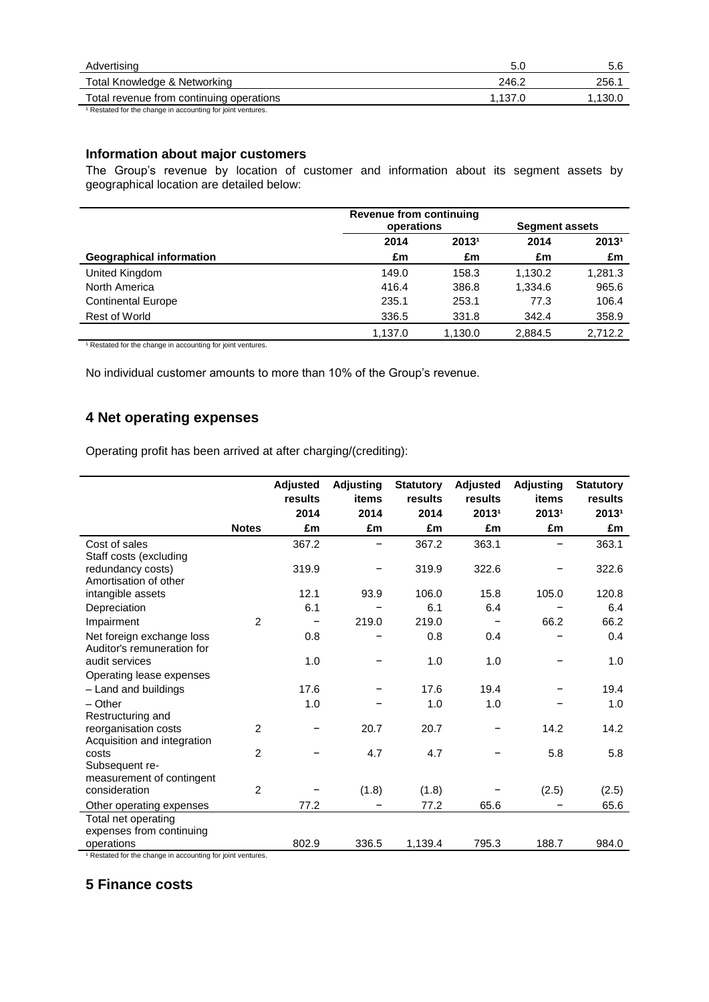| Advertising                                               |         | 5.6     |
|-----------------------------------------------------------|---------|---------|
| Total Knowledge & Networking                              | 246.2   | 256.    |
| Total revenue from continuing operations                  | 1.137.0 | 1,130.0 |
| Restated for the change in accounting for joint ventures. |         |         |

### **Information about major customers**

The Group's revenue by location of customer and information about its segment assets by geographical location are detailed below:

|                                 |         | <b>Revenue from continuing</b><br>operations |         | <b>Segment assets</b> |  |  |
|---------------------------------|---------|----------------------------------------------|---------|-----------------------|--|--|
|                                 | 2014    | 20131                                        | 2014    | 20131                 |  |  |
| <b>Geographical information</b> | £m      | £m                                           | £m      | £m                    |  |  |
| United Kingdom                  | 149.0   | 158.3                                        | 1.130.2 | 1,281.3               |  |  |
| North America                   | 416.4   | 386.8                                        | 1.334.6 | 965.6                 |  |  |
| <b>Continental Europe</b>       | 235.1   | 253.1                                        | 77.3    | 106.4                 |  |  |
| Rest of World                   | 336.5   | 331.8                                        | 342.4   | 358.9                 |  |  |
|                                 | 1.137.0 | 1.130.0                                      | 2.884.5 | 2.712.2               |  |  |

<sup>1</sup> Restated for the change in accounting for joint ventures.

No individual customer amounts to more than 10% of the Group's revenue.

### **4 Net operating expenses**

Operating profit has been arrived at after charging/(crediting):

|                                                 | <b>Notes</b>   | Adjusted<br>results<br>2014<br>£m | <b>Adjusting</b><br>items<br>2014<br>£m | <b>Statutory</b><br>results<br>2014<br>£m | <b>Adjusted</b><br>results<br>20131<br>£m | <b>Adjusting</b><br>items<br>20131<br>£m | <b>Statutory</b><br>results<br>20131<br>£m |
|-------------------------------------------------|----------------|-----------------------------------|-----------------------------------------|-------------------------------------------|-------------------------------------------|------------------------------------------|--------------------------------------------|
| Cost of sales                                   |                | 367.2                             |                                         | 367.2                                     | 363.1                                     | -                                        | 363.1                                      |
| Staff costs (excluding                          |                |                                   |                                         |                                           |                                           |                                          |                                            |
| redundancy costs)                               |                | 319.9                             |                                         | 319.9                                     | 322.6                                     |                                          | 322.6                                      |
| Amortisation of other                           |                |                                   |                                         |                                           |                                           |                                          |                                            |
| intangible assets                               |                | 12.1                              | 93.9                                    | 106.0                                     | 15.8                                      | 105.0                                    | 120.8                                      |
| Depreciation                                    |                | 6.1                               |                                         | 6.1                                       | 6.4                                       |                                          | 6.4                                        |
| Impairment                                      | 2              |                                   | 219.0                                   | 219.0                                     |                                           | 66.2                                     | 66.2                                       |
| Net foreign exchange loss                       |                | 0.8                               |                                         | 0.8                                       | 0.4                                       |                                          | 0.4                                        |
| Auditor's remuneration for                      |                |                                   |                                         |                                           |                                           |                                          |                                            |
| audit services                                  |                | 1.0                               |                                         | 1.0                                       | 1.0                                       |                                          | 1.0                                        |
| Operating lease expenses                        |                |                                   |                                         |                                           |                                           |                                          |                                            |
| - Land and buildings                            |                | 17.6                              |                                         | 17.6                                      | 19.4                                      |                                          | 19.4                                       |
| $-$ Other                                       |                | 1.0                               |                                         | 1.0                                       | 1.0                                       |                                          | 1.0                                        |
| Restructuring and                               |                |                                   |                                         |                                           |                                           |                                          |                                            |
| reorganisation costs                            | $\overline{2}$ |                                   | 20.7                                    | 20.7                                      |                                           | 14.2                                     | 14.2                                       |
| Acquisition and integration                     |                |                                   |                                         |                                           |                                           |                                          |                                            |
| costs                                           | $\overline{2}$ |                                   | 4.7                                     | 4.7                                       |                                           | 5.8                                      | 5.8                                        |
| Subsequent re-                                  |                |                                   |                                         |                                           |                                           |                                          |                                            |
| measurement of contingent<br>consideration      | $\overline{2}$ |                                   | (1.8)                                   | (1.8)                                     |                                           | (2.5)                                    | (2.5)                                      |
|                                                 |                |                                   |                                         |                                           |                                           |                                          |                                            |
| Other operating expenses                        |                | 77.2                              |                                         | 77.2                                      | 65.6                                      |                                          | 65.6                                       |
| Total net operating<br>expenses from continuing |                |                                   |                                         |                                           |                                           |                                          |                                            |
| operations                                      |                | 802.9                             | 336.5                                   | 1,139.4                                   | 795.3                                     | 188.7                                    | 984.0                                      |
|                                                 |                |                                   |                                         |                                           |                                           |                                          |                                            |

<sup>1</sup> Restated for the change in accounting for joint ventures.

# **5 Finance costs**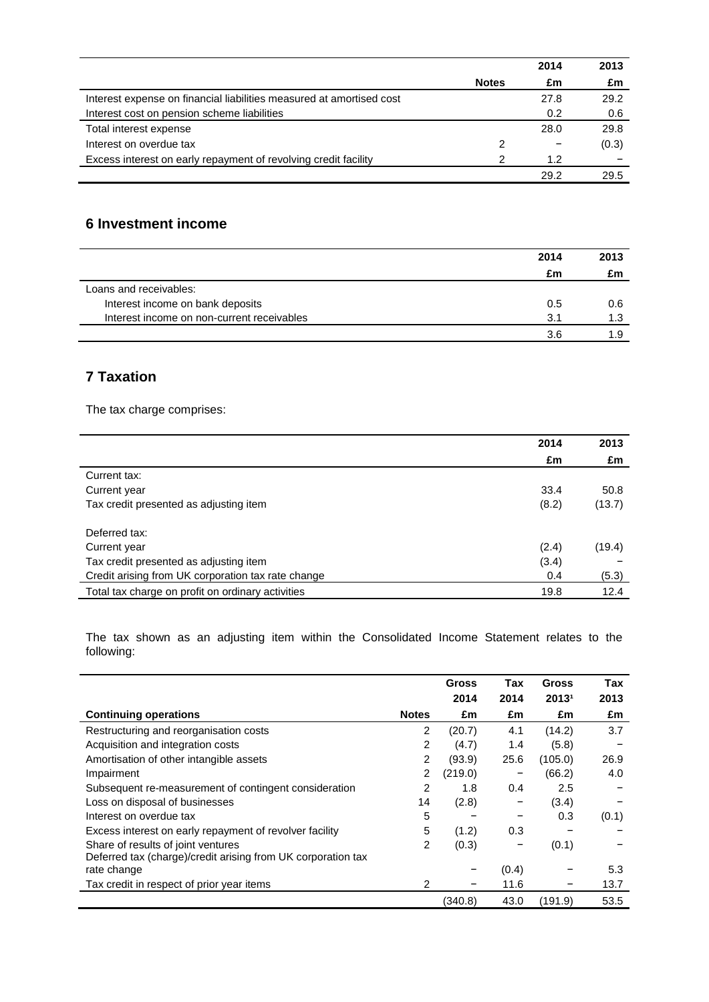|                                                                      |              | 2014 | 2013  |
|----------------------------------------------------------------------|--------------|------|-------|
|                                                                      | <b>Notes</b> | £m   | £m    |
| Interest expense on financial liabilities measured at amortised cost |              | 27.8 | 29.2  |
| Interest cost on pension scheme liabilities                          |              | 0.2  | 0.6   |
| Total interest expense                                               |              | 28.0 | 29.8  |
| Interest on overdue tax                                              | 2            |      | (0.3) |
| Excess interest on early repayment of revolving credit facility      |              | 1.2  |       |
|                                                                      |              | 29.2 | 29.5  |

# **6 Investment income**

|                                            | 2014 | 2013 |
|--------------------------------------------|------|------|
|                                            | £m   | £m   |
| Loans and receivables:                     |      |      |
| Interest income on bank deposits           | 0.5  | 0.6  |
| Interest income on non-current receivables | 3.1  | 1.3  |
|                                            | 3.6  | 1 Q  |

# **7 Taxation**

The tax charge comprises:

|                                                    | 2014  | 2013   |
|----------------------------------------------------|-------|--------|
|                                                    | £m    | £m     |
| Current tax:                                       |       |        |
| Current year                                       | 33.4  | 50.8   |
| Tax credit presented as adjusting item             | (8.2) | (13.7) |
| Deferred tax:                                      |       |        |
| Current year                                       | (2.4) | (19.4) |
| Tax credit presented as adjusting item             | (3.4) |        |
| Credit arising from UK corporation tax rate change | 0.4   | (5.3)  |
| Total tax charge on profit on ordinary activities  | 19.8  | 12.4   |

The tax shown as an adjusting item within the Consolidated Income Statement relates to the following:

|                                                              |              | <b>Gross</b> | Tax   | <b>Gross</b> | Tax   |
|--------------------------------------------------------------|--------------|--------------|-------|--------------|-------|
|                                                              |              | 2014         | 2014  | 20131        | 2013  |
| <b>Continuing operations</b>                                 | <b>Notes</b> | £m           | £m    | £m           | £m    |
| Restructuring and reorganisation costs                       | 2            | (20.7)       | 4.1   | (14.2)       | 3.7   |
| Acquisition and integration costs                            | 2            | (4.7)        | 1.4   | (5.8)        |       |
| Amortisation of other intangible assets                      | 2            | (93.9)       | 25.6  | (105.0)      | 26.9  |
| Impairment                                                   | 2            | (219.0)      |       | (66.2)       | 4.0   |
| Subsequent re-measurement of contingent consideration        | 2            | 1.8          | 0.4   | 2.5          |       |
| Loss on disposal of businesses                               | 14           | (2.8)        |       | (3.4)        |       |
| Interest on overdue tax                                      | 5            |              | -     | 0.3          | (0.1) |
| Excess interest on early repayment of revolver facility      | 5            | (1.2)        | 0.3   |              |       |
| Share of results of joint ventures                           | 2            | (0.3)        | -     | (0.1)        |       |
| Deferred tax (charge)/credit arising from UK corporation tax |              |              |       |              |       |
| rate change                                                  |              |              | (0.4) |              | 5.3   |
| Tax credit in respect of prior year items                    | 2            |              | 11.6  |              | 13.7  |
|                                                              |              | (340.8)      | 43.0  | (191.9)      | 53.5  |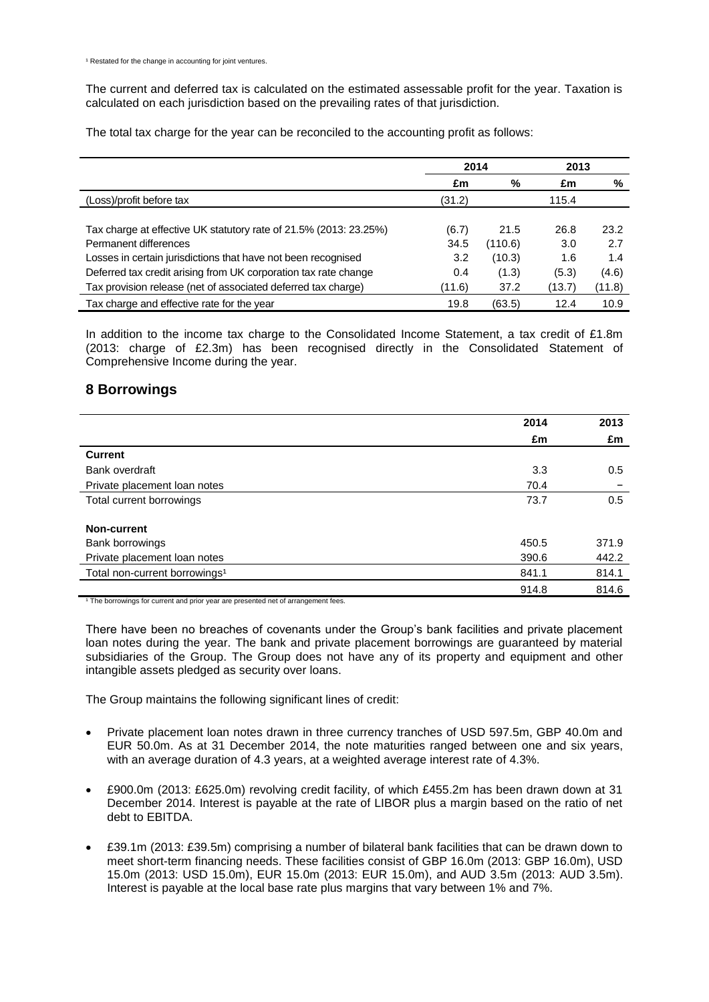The current and deferred tax is calculated on the estimated assessable profit for the year. Taxation is calculated on each jurisdiction based on the prevailing rates of that jurisdiction.

The total tax charge for the year can be reconciled to the accounting profit as follows:

|                                                                   | 2014   |         | 2013   |        |
|-------------------------------------------------------------------|--------|---------|--------|--------|
|                                                                   | £m     | %       | £m     | %      |
| (Loss)/profit before tax                                          | (31.2) |         | 115.4  |        |
|                                                                   |        |         |        |        |
| Tax charge at effective UK statutory rate of 21.5% (2013: 23.25%) | (6.7)  | 21.5    | 26.8   | 23.2   |
| Permanent differences                                             | 34.5   | (110.6) | 3.0    | 2.7    |
| Losses in certain jurisdictions that have not been recognised     | 3.2    | (10.3)  | 1.6    | 1.4    |
| Deferred tax credit arising from UK corporation tax rate change   | 0.4    | (1.3)   | (5.3)  | (4.6)  |
| Tax provision release (net of associated deferred tax charge)     | (11.6) | 37.2    | (13.7) | (11.8) |
| Tax charge and effective rate for the year                        | 19.8   | (63.5)  | 12.4   | 10.9   |

In addition to the income tax charge to the Consolidated Income Statement, a tax credit of £1.8m (2013: charge of £2.3m) has been recognised directly in the Consolidated Statement of Comprehensive Income during the year.

### **8 Borrowings**

|                                                                                                                 | 2014  | 2013  |
|-----------------------------------------------------------------------------------------------------------------|-------|-------|
|                                                                                                                 | £m    | £m    |
| <b>Current</b>                                                                                                  |       |       |
| Bank overdraft                                                                                                  | 3.3   | 0.5   |
| Private placement loan notes                                                                                    | 70.4  |       |
| Total current borrowings                                                                                        | 73.7  | 0.5   |
|                                                                                                                 |       |       |
| Non-current                                                                                                     |       |       |
| Bank borrowings                                                                                                 | 450.5 | 371.9 |
| Private placement loan notes                                                                                    | 390.6 | 442.2 |
| Total non-current borrowings <sup>1</sup>                                                                       | 841.1 | 814.1 |
|                                                                                                                 | 914.8 | 814.6 |
| the contract of the contract of the contract of the contract of the contract of the contract of the contract of |       |       |

<sup>1</sup> The borrowings for current and prior year are presented net of arrangement fees.

There have been no breaches of covenants under the Group's bank facilities and private placement loan notes during the year. The bank and private placement borrowings are guaranteed by material subsidiaries of the Group. The Group does not have any of its property and equipment and other intangible assets pledged as security over loans.

The Group maintains the following significant lines of credit:

- Private placement loan notes drawn in three currency tranches of USD 597.5m, GBP 40.0m and EUR 50.0m. As at 31 December 2014, the note maturities ranged between one and six years, with an average duration of 4.3 years, at a weighted average interest rate of 4.3%.
- £900.0m (2013: £625.0m) revolving credit facility, of which £455.2m has been drawn down at 31 December 2014. Interest is payable at the rate of LIBOR plus a margin based on the ratio of net debt to EBITDA.
- £39.1m (2013: £39.5m) comprising a number of bilateral bank facilities that can be drawn down to meet short-term financing needs. These facilities consist of GBP 16.0m (2013: GBP 16.0m), USD 15.0m (2013: USD 15.0m), EUR 15.0m (2013: EUR 15.0m), and AUD 3.5m (2013: AUD 3.5m). Interest is payable at the local base rate plus margins that vary between 1% and 7%.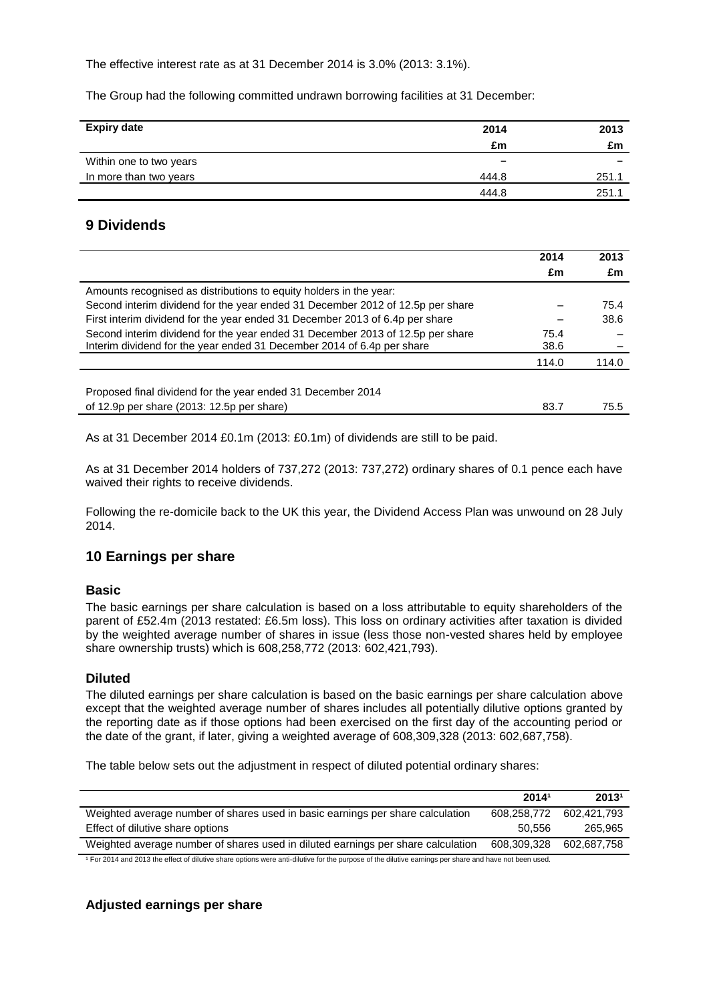The effective interest rate as at 31 December 2014 is 3.0% (2013: 3.1%).

The Group had the following committed undrawn borrowing facilities at 31 December:

| <b>Expiry date</b>      | 2014  | 2013  |
|-------------------------|-------|-------|
|                         | £m    | £m    |
| Within one to two years | -     |       |
| In more than two years  | 444.8 | 251.1 |
|                         | 444.8 | 251.1 |

# **9 Dividends**

|                                                                                | 2014  | 2013  |
|--------------------------------------------------------------------------------|-------|-------|
|                                                                                | £m    | £m    |
| Amounts recognised as distributions to equity holders in the year:             |       |       |
| Second interim dividend for the year ended 31 December 2012 of 12.5p per share |       | 75.4  |
| First interim dividend for the year ended 31 December 2013 of 6.4p per share   |       | 38.6  |
| Second interim dividend for the year ended 31 December 2013 of 12.5p per share | 75.4  |       |
| Interim dividend for the year ended 31 December 2014 of 6.4p per share         | 38.6  |       |
|                                                                                | 114.0 | 114.0 |
|                                                                                |       |       |
| Proposed final dividend for the year ended 31 December 2014                    |       |       |
| of 12.9p per share (2013: 12.5p per share)                                     | 83.7  | 75.5  |

As at 31 December 2014 £0.1m (2013: £0.1m) of dividends are still to be paid.

As at 31 December 2014 holders of 737,272 (2013: 737,272) ordinary shares of 0.1 pence each have waived their rights to receive dividends.

Following the re-domicile back to the UK this year, the Dividend Access Plan was unwound on 28 July 2014.

### **10 Earnings per share**

### **Basic**

The basic earnings per share calculation is based on a loss attributable to equity shareholders of the parent of £52.4m (2013 restated: £6.5m loss). This loss on ordinary activities after taxation is divided by the weighted average number of shares in issue (less those non-vested shares held by employee share ownership trusts) which is 608,258,772 (2013: 602,421,793).

### **Diluted**

The diluted earnings per share calculation is based on the basic earnings per share calculation above except that the weighted average number of shares includes all potentially dilutive options granted by the reporting date as if those options had been exercised on the first day of the accounting period or the date of the grant, if later, giving a weighted average of 608,309,328 (2013: 602,687,758).

The table below sets out the adjustment in respect of diluted potential ordinary shares:

|                                                                                  | 20141       | 20131       |
|----------------------------------------------------------------------------------|-------------|-------------|
| Weighted average number of shares used in basic earnings per share calculation   | 608.258.772 | 602.421.793 |
| Effect of dilutive share options                                                 | 50.556      | 265.965     |
| Weighted average number of shares used in diluted earnings per share calculation | 608.309.328 | 602.687.758 |
|                                                                                  |             |             |

<sup>1</sup> For 2014 and 2013 the effect of dilutive share options were anti-dilutive for the purpose of the dilutive earnings per share and have not been used.

# **Adjusted earnings per share**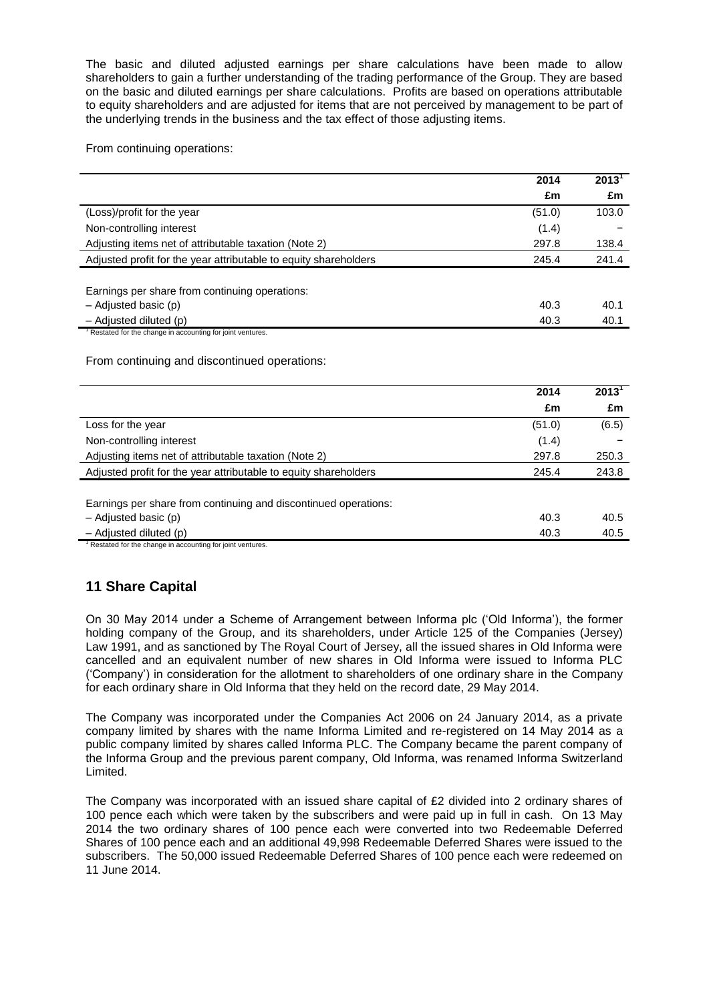The basic and diluted adjusted earnings per share calculations have been made to allow shareholders to gain a further understanding of the trading performance of the Group. They are based on the basic and diluted earnings per share calculations. Profits are based on operations attributable to equity shareholders and are adjusted for items that are not perceived by management to be part of the underlying trends in the business and the tax effect of those adjusting items.

From continuing operations:

|                                                                                         | 2014   | $2013$ <sup>T</sup> |
|-----------------------------------------------------------------------------------------|--------|---------------------|
|                                                                                         | £m     | £m                  |
| (Loss)/profit for the year                                                              | (51.0) | 103.0               |
| Non-controlling interest                                                                | (1.4)  |                     |
| Adjusting items net of attributable taxation (Note 2)                                   | 297.8  | 138.4               |
| Adjusted profit for the year attributable to equity shareholders                        | 245.4  | 241.4               |
|                                                                                         |        |                     |
| Earnings per share from continuing operations:                                          |        |                     |
| - Adjusted basic (p)                                                                    | 40.3   | 40.1                |
| - Adjusted diluted (p)                                                                  | 40.3   | 40.1                |
| Restated for the change in accounting for joint ventures.                               |        |                     |
| From continuing and discontinued operations:                                            |        |                     |
|                                                                                         | 2014   | $2013^1$            |
|                                                                                         | £m     | £m                  |
| Loss for the year                                                                       | (51.0) | (6.5)               |
| Non-controlling interest                                                                | (1.4)  |                     |
| Adjusting items net of attributable taxation (Note 2)                                   | 297.8  | 250.3               |
| Adjusted profit for the year attributable to equity shareholders                        | 245.4  | 243.8               |
|                                                                                         |        |                     |
| Earnings per share from continuing and discontinued operations:<br>- Adjusted basic (p) | 40.3   | 40.5                |

Adjusted diluted (p)  $40.3$  40.5

tated for the change in accounting for joint ventures.

# **11 Share Capital**

On 30 May 2014 under a Scheme of Arrangement between Informa plc ('Old Informa'), the former holding company of the Group, and its shareholders, under Article 125 of the Companies (Jersey) Law 1991, and as sanctioned by The Royal Court of Jersey, all the issued shares in Old Informa were cancelled and an equivalent number of new shares in Old Informa were issued to Informa PLC ('Company') in consideration for the allotment to shareholders of one ordinary share in the Company for each ordinary share in Old Informa that they held on the record date, 29 May 2014.

The Company was incorporated under the Companies Act 2006 on 24 January 2014, as a private company limited by shares with the name Informa Limited and re-registered on 14 May 2014 as a public company limited by shares called Informa PLC. The Company became the parent company of the Informa Group and the previous parent company, Old Informa, was renamed Informa Switzerland Limited.

The Company was incorporated with an issued share capital of £2 divided into 2 ordinary shares of 100 pence each which were taken by the subscribers and were paid up in full in cash. On 13 May 2014 the two ordinary shares of 100 pence each were converted into two Redeemable Deferred Shares of 100 pence each and an additional 49,998 Redeemable Deferred Shares were issued to the subscribers. The 50,000 issued Redeemable Deferred Shares of 100 pence each were redeemed on 11 June 2014.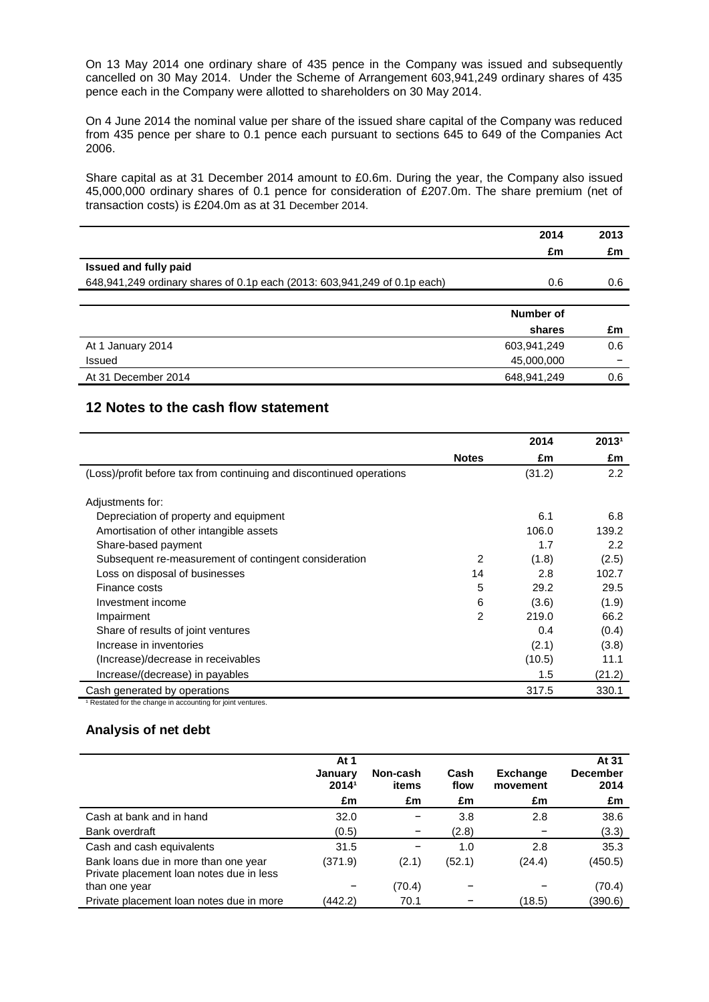On 13 May 2014 one ordinary share of 435 pence in the Company was issued and subsequently cancelled on 30 May 2014. Under the Scheme of Arrangement 603,941,249 ordinary shares of 435 pence each in the Company were allotted to shareholders on 30 May 2014.

On 4 June 2014 the nominal value per share of the issued share capital of the Company was reduced from 435 pence per share to 0.1 pence each pursuant to sections 645 to 649 of the Companies Act 2006.

Share capital as at 31 December 2014 amount to £0.6m. During the year, the Company also issued 45,000,000 ordinary shares of 0.1 pence for consideration of £207.0m. The share premium (net of transaction costs) is £204.0m as at 31 December 2014.

|                                                                           | 2014        | 2013 |
|---------------------------------------------------------------------------|-------------|------|
|                                                                           | £m          | £m   |
| <b>Issued and fully paid</b>                                              |             |      |
| 648,941,249 ordinary shares of 0.1p each (2013: 603,941,249 of 0.1p each) | 0.6         | 0.6  |
|                                                                           |             |      |
|                                                                           | Number of   |      |
|                                                                           | shares      | £m   |
| At 1 January 2014                                                         | 603,941,249 | 0.6  |
| Issued                                                                    | 45,000,000  | -    |
| At 31 December 2014                                                       | 648,941,249 | 0.6  |

## **12 Notes to the cash flow statement**

|                                                                        |                | 2014   | 20131  |
|------------------------------------------------------------------------|----------------|--------|--------|
|                                                                        | <b>Notes</b>   | £m     | £m     |
| (Loss)/profit before tax from continuing and discontinued operations   |                | (31.2) | 2.2    |
| Adjustments for:                                                       |                |        |        |
| Depreciation of property and equipment                                 |                | 6.1    | 6.8    |
| Amortisation of other intangible assets                                |                | 106.0  | 139.2  |
| Share-based payment                                                    |                | 1.7    | 2.2    |
| Subsequent re-measurement of contingent consideration                  | 2              | (1.8)  | (2.5)  |
| Loss on disposal of businesses                                         | 14             | 2.8    | 102.7  |
| Finance costs                                                          | 5              | 29.2   | 29.5   |
| Investment income                                                      | 6              | (3.6)  | (1.9)  |
| Impairment                                                             | $\overline{2}$ | 219.0  | 66.2   |
| Share of results of joint ventures                                     |                | 0.4    | (0.4)  |
| Increase in inventories                                                |                | (2.1)  | (3.8)  |
| (Increase)/decrease in receivables                                     |                | (10.5) | 11.1   |
| Increase/(decrease) in payables                                        |                | 1.5    | (21.2) |
| Cash generated by operations                                           |                | 317.5  | 330.1  |
| <sup>1</sup> Restated for the change in accounting for joint ventures. |                |        |        |

## **Analysis of net debt**

|                                                                                  | At 1<br>January<br>20141 | Non-cash<br>items | Cash<br>flow | <b>Exchange</b><br>movement | At 31<br><b>December</b><br>2014 |
|----------------------------------------------------------------------------------|--------------------------|-------------------|--------------|-----------------------------|----------------------------------|
|                                                                                  | £m                       | £m                | £m           | £m                          | £m                               |
| Cash at bank and in hand                                                         | 32.0                     |                   | 3.8          | 2.8                         | 38.6                             |
| Bank overdraft                                                                   | (0.5)                    |                   | (2.8)        |                             | (3.3)                            |
| Cash and cash equivalents                                                        | 31.5                     |                   | 1.0          | 2.8                         | 35.3                             |
| Bank loans due in more than one year<br>Private placement loan notes due in less | (371.9)                  | (2.1)             | (52.1)       | (24.4)                      | (450.5)                          |
| than one year                                                                    |                          | (70.4)            |              |                             | (70.4)                           |
| Private placement loan notes due in more                                         | (442.2)                  | 70.1              |              | (18.5)                      | (390.6)                          |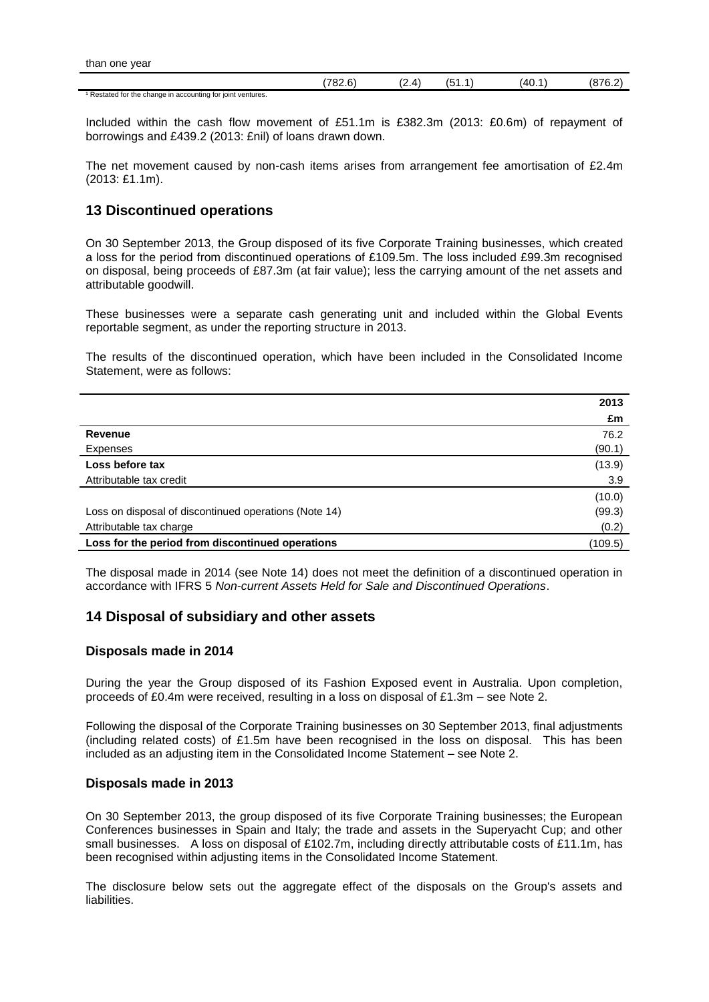|                                                                        | $\sim$<br>170c<br>. | Δ<br>. | ١Δ١ | ، ۱۴<br>$\ddotsc$ |
|------------------------------------------------------------------------|---------------------|--------|-----|-------------------|
| <sup>1</sup> Restated for the change in accounting for joint ventures. |                     |        |     |                   |

Included within the cash flow movement of £51.1m is £382.3m (2013: £0.6m) of repayment of borrowings and £439.2 (2013: £nil) of loans drawn down.

The net movement caused by non-cash items arises from arrangement fee amortisation of £2.4m (2013: £1.1m).

## **13 Discontinued operations**

On 30 September 2013, the Group disposed of its five Corporate Training businesses, which created a loss for the period from discontinued operations of £109.5m. The loss included £99.3m recognised on disposal, being proceeds of £87.3m (at fair value); less the carrying amount of the net assets and attributable goodwill.

These businesses were a separate cash generating unit and included within the Global Events reportable segment, as under the reporting structure in 2013.

The results of the discontinued operation, which have been included in the Consolidated Income Statement, were as follows:

|                                                       | 2013    |
|-------------------------------------------------------|---------|
|                                                       | £m      |
| Revenue                                               | 76.2    |
| Expenses                                              | (90.1)  |
| Loss before tax                                       | (13.9)  |
| Attributable tax credit                               | 3.9     |
|                                                       | (10.0)  |
| Loss on disposal of discontinued operations (Note 14) | (99.3)  |
| Attributable tax charge                               | (0.2)   |
| Loss for the period from discontinued operations      | (109.5) |

The disposal made in 2014 (see Note 14) does not meet the definition of a discontinued operation in accordance with IFRS 5 *Non-current Assets Held for Sale and Discontinued Operations*.

### **14 Disposal of subsidiary and other assets**

### **Disposals made in 2014**

During the year the Group disposed of its Fashion Exposed event in Australia. Upon completion, proceeds of £0.4m were received, resulting in a loss on disposal of £1.3m – see Note 2.

Following the disposal of the Corporate Training businesses on 30 September 2013, final adjustments (including related costs) of £1.5m have been recognised in the loss on disposal. This has been included as an adjusting item in the Consolidated Income Statement – see Note 2.

### **Disposals made in 2013**

On 30 September 2013, the group disposed of its five Corporate Training businesses; the European Conferences businesses in Spain and Italy; the trade and assets in the Superyacht Cup; and other small businesses. A loss on disposal of £102.7m, including directly attributable costs of £11.1m, has been recognised within adjusting items in the Consolidated Income Statement.

The disclosure below sets out the aggregate effect of the disposals on the Group's assets and liabilities.